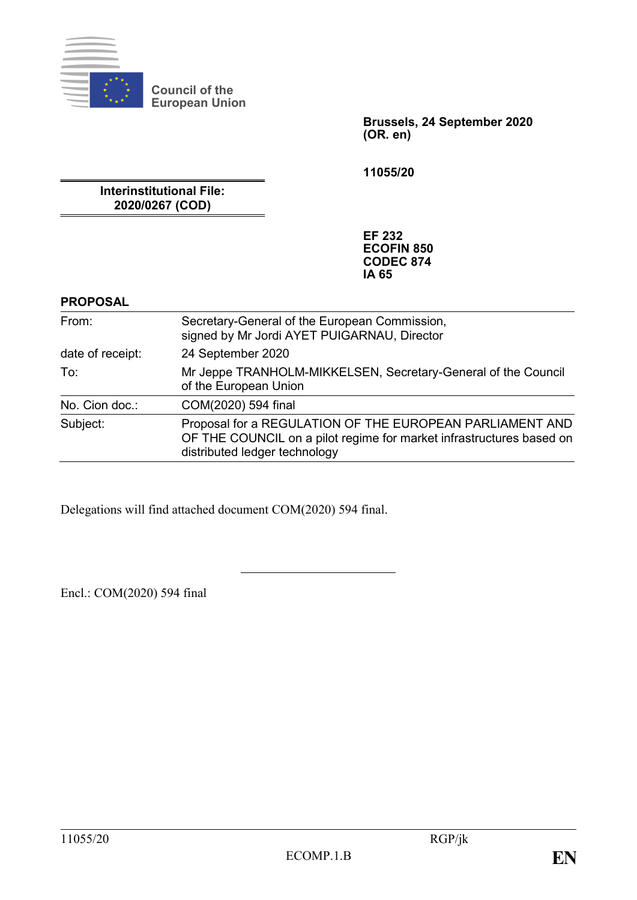

**Council of the European Union**

> **Brussels, 24 September 2020 (OR. en)**

**11055/20**

**Interinstitutional File: 2020/0267 (COD)**

> **EF 232 ECOFIN 850 CODEC 874 IA 65**

#### **PROPOSAL**

| From:            | Secretary-General of the European Commission,<br>signed by Mr Jordi AYET PUIGARNAU, Director                                                                      |
|------------------|-------------------------------------------------------------------------------------------------------------------------------------------------------------------|
| date of receipt: | 24 September 2020                                                                                                                                                 |
| To:              | Mr Jeppe TRANHOLM-MIKKELSEN, Secretary-General of the Council<br>of the European Union                                                                            |
| No. Cion doc.:   | COM(2020) 594 final                                                                                                                                               |
| Subject:         | Proposal for a REGULATION OF THE EUROPEAN PARLIAMENT AND<br>OF THE COUNCIL on a pilot regime for market infrastructures based on<br>distributed ledger technology |

Delegations will find attached document COM(2020) 594 final.

Encl.: COM(2020) 594 final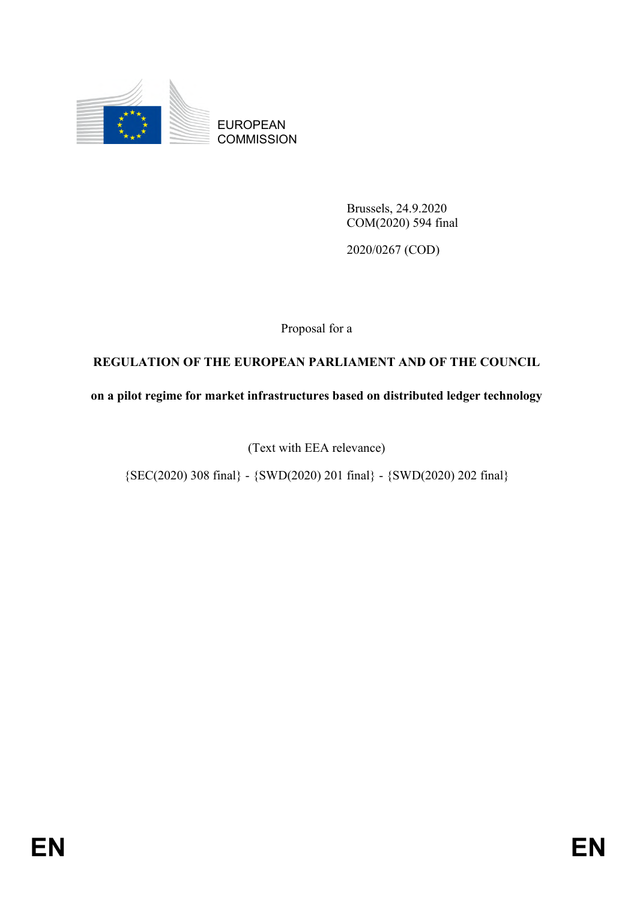

EUROPEAN **COMMISSION** 

> Brussels, 24.9.2020 COM(2020) 594 final

2020/0267 (COD)

Proposal for a

# **REGULATION OF THE EUROPEAN PARLIAMENT AND OF THE COUNCIL**

**on a pilot regime for market infrastructures based on distributed ledger technology**

(Text with EEA relevance)

 ${SEC(2020) 308 final} - {SWD(2020) 201 final} - {SWD(2020) 202 final}$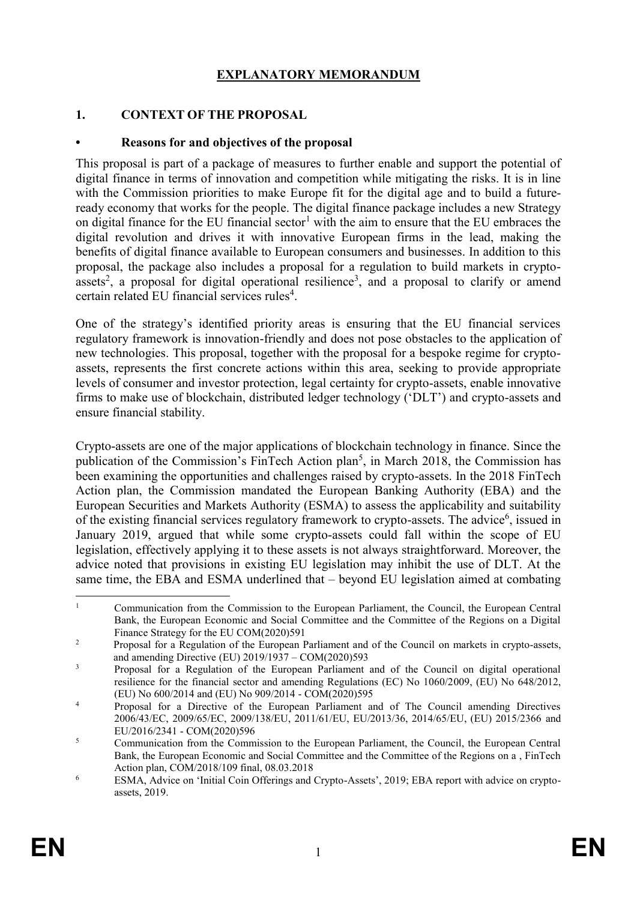## **EXPLANATORY MEMORANDUM**

#### **1. CONTEXT OF THE PROPOSAL**

#### **• Reasons for and objectives of the proposal**

This proposal is part of a package of measures to further enable and support the potential of digital finance in terms of innovation and competition while mitigating the risks. It is in line with the Commission priorities to make Europe fit for the digital age and to build a futureready economy that works for the people. The digital finance package includes a new Strategy on digital finance for the EU financial sector<sup>1</sup> with the aim to ensure that the EU embraces the digital revolution and drives it with innovative European firms in the lead, making the benefits of digital finance available to European consumers and businesses. In addition to this proposal, the package also includes a proposal for a regulation to build markets in cryptoassets<sup>2</sup>, a proposal for digital operational resilience<sup>3</sup>, and a proposal to clarify or amend certain related EU financial services rules<sup>4</sup>.

One of the strategy's identified priority areas is ensuring that the EU financial services regulatory framework is innovation-friendly and does not pose obstacles to the application of new technologies. This proposal, together with the proposal for a bespoke regime for cryptoassets, represents the first concrete actions within this area, seeking to provide appropriate levels of consumer and investor protection, legal certainty for crypto-assets, enable innovative firms to make use of blockchain, distributed ledger technology ('DLT') and crypto-assets and ensure financial stability.

Crypto-assets are one of the major applications of blockchain technology in finance. Since the publication of the Commission's FinTech Action plan<sup>5</sup>, in March 2018, the Commission has been examining the opportunities and challenges raised by crypto-assets. In the 2018 FinTech Action plan, the Commission mandated the European Banking Authority (EBA) and the European Securities and Markets Authority (ESMA) to assess the applicability and suitability of the existing financial services regulatory framework to crypto-assets. The advice<sup>6</sup>, issued in January 2019, argued that while some crypto-assets could fall within the scope of EU legislation, effectively applying it to these assets is not always straightforward. Moreover, the advice noted that provisions in existing EU legislation may inhibit the use of DLT. At the same time, the EBA and ESMA underlined that – beyond EU legislation aimed at combating

<sup>1</sup> <sup>1</sup> Communication from the Commission to the European Parliament, the Council, the European Central Bank, the European Economic and Social Committee and the Committee of the Regions on a Digital Finance Strategy for the EU COM(2020)591

<sup>&</sup>lt;sup>2</sup> Proposal for a Regulation of the European Parliament and of the Council on markets in crypto-assets, and amending Directive (EU) 2019/1937 – COM(2020)593

<sup>&</sup>lt;sup>3</sup> Proposal for a Regulation of the European Parliament and of the Council on digital operational resilience for the financial sector and amending Regulations (EC) No 1060/2009, (EU) No 648/2012, (EU) No 600/2014 and (EU) No 909/2014 - COM(2020)595

<sup>4</sup> Proposal for a Directive of the European Parliament and of The Council amending Directives 2006/43/EC, 2009/65/EC, 2009/138/EU, 2011/61/EU, EU/2013/36, 2014/65/EU, (EU) 2015/2366 and EU/2016/2341 - COM(2020)596

<sup>&</sup>lt;sup>5</sup> Communication from the Commission to the European Parliament, the Council, the European Central Bank, the European Economic and Social Committee and the Committee of the Regions on a , FinTech Action plan, COM/2018/109 final, 08.03.2018

<sup>6</sup> ESMA, Advice on 'Initial Coin Offerings and Crypto-Assets', 2019; EBA report with advice on cryptoassets, 2019.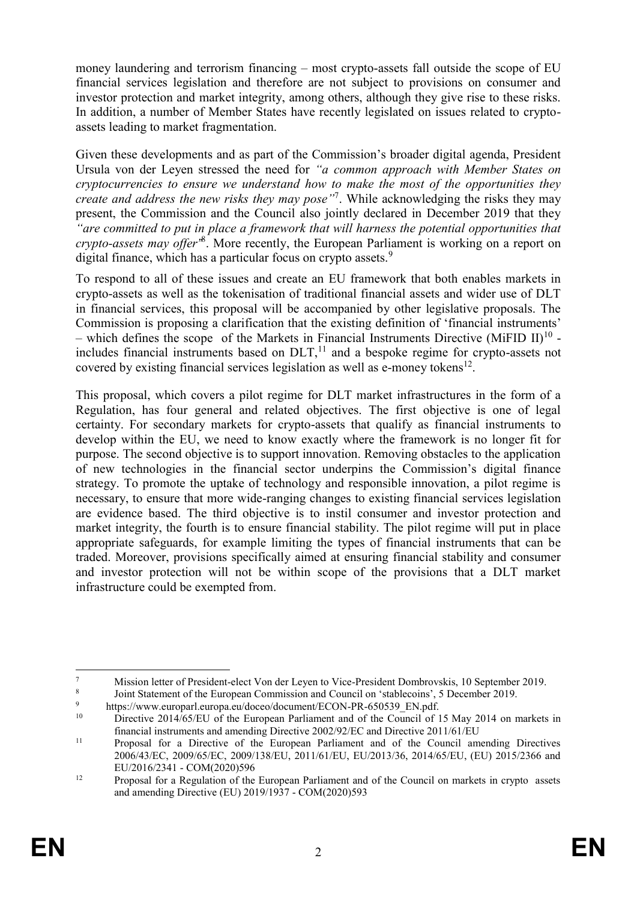money laundering and terrorism financing – most crypto-assets fall outside the scope of EU financial services legislation and therefore are not subject to provisions on consumer and investor protection and market integrity, among others, although they give rise to these risks. In addition, a number of Member States have recently legislated on issues related to cryptoassets leading to market fragmentation.

Given these developments and as part of the Commission's broader digital agenda, President Ursula von der Leyen stressed the need for *"a common approach with Member States on cryptocurrencies to ensure we understand how to make the most of the opportunities they create and address the new risks they may pose"*<sup>7</sup> . While acknowledging the risks they may present, the Commission and the Council also jointly declared in December 2019 that they *"are committed to put in place a framework that will harness the potential opportunities that crypto-assets may offer"* 8 . More recently, the European Parliament is working on a report on digital finance, which has a particular focus on crypto assets.<sup>9</sup>

To respond to all of these issues and create an EU framework that both enables markets in crypto-assets as well as the tokenisation of traditional financial assets and wider use of DLT in financial services, this proposal will be accompanied by other legislative proposals. The Commission is proposing a clarification that the existing definition of 'financial instruments' – which defines the scope of the Markets in Financial Instruments Directive (MiFID II)<sup>10</sup> includes financial instruments based on  $DLT<sub>11</sub><sup>11</sup>$  and a bespoke regime for crypto-assets not covered by existing financial services legislation as well as e-money tokens $^{12}$ .

This proposal, which covers a pilot regime for DLT market infrastructures in the form of a Regulation, has four general and related objectives. The first objective is one of legal certainty. For secondary markets for crypto-assets that qualify as financial instruments to develop within the EU, we need to know exactly where the framework is no longer fit for purpose. The second objective is to support innovation. Removing obstacles to the application of new technologies in the financial sector underpins the Commission's digital finance strategy. To promote the uptake of technology and responsible innovation, a pilot regime is necessary, to ensure that more wide-ranging changes to existing financial services legislation are evidence based. The third objective is to instil consumer and investor protection and market integrity, the fourth is to ensure financial stability. The pilot regime will put in place appropriate safeguards, for example limiting the types of financial instruments that can be traded. Moreover, provisions specifically aimed at ensuring financial stability and consumer and investor protection will not be within scope of the provisions that a DLT market infrastructure could be exempted from.

<sup>1</sup> <sup>7</sup> Mission letter of President-elect Von der Leyen to Vice-President Dombrovskis, 10 September 2019.

<sup>8</sup> Joint Statement of the European Commission and Council on 'stablecoins', 5 December 2019.

<sup>&</sup>lt;sup>9</sup> https://www.europarl.europa.eu/doceo/document/ECON-PR-650539\_EN.pdf.<br><sup>10</sup> Directive 2014/65/EU of the European Parliament and of the Council of 1

Directive 2014/65/EU of the European Parliament and of the Council of 15 May 2014 on markets in financial instruments and amending Directive 2002/92/EC and Directive 2011/61/EU

<sup>&</sup>lt;sup>11</sup> Proposal for a Directive of the European Parliament and of the Council amending Directives 2006/43/EC, 2009/65/EC, 2009/138/EU, 2011/61/EU, EU/2013/36, 2014/65/EU, (EU) 2015/2366 and EU/2016/2341 - COM(2020)596

<sup>&</sup>lt;sup>12</sup> Proposal for a Regulation of the European Parliament and of the Council on markets in crypto assets and amending Directive (EU) 2019/1937 - COM(2020)593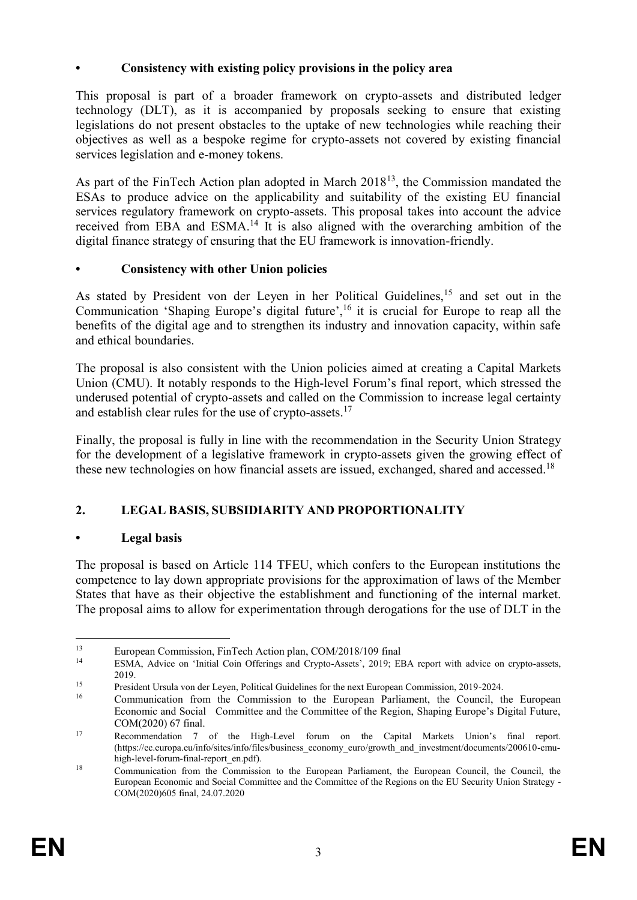## **• Consistency with existing policy provisions in the policy area**

This proposal is part of a broader framework on crypto-assets and distributed ledger technology (DLT), as it is accompanied by proposals seeking to ensure that existing legislations do not present obstacles to the uptake of new technologies while reaching their objectives as well as a bespoke regime for crypto-assets not covered by existing financial services legislation and e-money tokens.

As part of the FinTech Action plan adopted in March  $2018<sup>13</sup>$ , the Commission mandated the ESAs to produce advice on the applicability and suitability of the existing EU financial services regulatory framework on crypto-assets. This proposal takes into account the advice received from EBA and ESMA.<sup>14</sup> It is also aligned with the overarching ambition of the digital finance strategy of ensuring that the EU framework is innovation-friendly.

## **• Consistency with other Union policies**

As stated by President von der Leyen in her Political Guidelines,<sup>15</sup> and set out in the Communication 'Shaping Europe's digital future',<sup>16</sup> it is crucial for Europe to reap all the benefits of the digital age and to strengthen its industry and innovation capacity, within safe and ethical boundaries.

The proposal is also consistent with the Union policies aimed at creating a Capital Markets Union (CMU). It notably responds to the High-level Forum's final report, which stressed the underused potential of crypto-assets and called on the Commission to increase legal certainty and establish clear rules for the use of crypto-assets.<sup>17</sup>

Finally, the proposal is fully in line with the recommendation in the Security Union Strategy for the development of a legislative framework in crypto-assets given the growing effect of these new technologies on how financial assets are issued, exchanged, shared and accessed.<sup>18</sup>

# **2. LEGAL BASIS, SUBSIDIARITY AND PROPORTIONALITY**

## **• Legal basis**

The proposal is based on Article 114 TFEU, which confers to the European institutions the competence to lay down appropriate provisions for the approximation of laws of the Member States that have as their objective the establishment and functioning of the internal market. The proposal aims to allow for experimentation through derogations for the use of DLT in the

 $13$ <sup>13</sup><br>European Commission, FinTech Action plan, COM/2018/109 final<br><sup>14</sup>

<sup>14</sup> ESMA, Advice on 'Initial Coin Offerings and Crypto-Assets', 2019; EBA report with advice on crypto-assets, 2019.

<sup>&</sup>lt;sup>15</sup><br>
16 President Ursula von der Leyen, Political Guidelines for the next European Commission, 2019-2024.<br>
16 Communication from the Commission to the European Parliament, the Council th

<sup>16</sup> Communication from the Commission to the European Parliament, the Council, the European Economic and Social Committee and the Committee of the Region, Shaping Europe's Digital Future, COM(2020) 67 final.

<sup>17</sup> Recommendation 7 of the High-Level forum on the Capital Markets Union's final report. [\(https://ec.europa.eu/info/sites/info/files/business\\_economy\\_euro/growth\\_and\\_investment/documents/200610-cmu](https://ec.europa.eu/info/sites/info/files/business_economy_euro/growth_and_investment/documents/200610-cmu-high-level-forum-final-report_en.pdf)[high-level-forum-final-report\\_en.pdf\)](https://ec.europa.eu/info/sites/info/files/business_economy_euro/growth_and_investment/documents/200610-cmu-high-level-forum-final-report_en.pdf).

<sup>&</sup>lt;sup>18</sup> Communication from the Commission to the European Parliament, the European Council, the Council, the European Economic and Social Committee and the Committee of the Regions on the EU Security Union Strategy - COM(2020)605 final, 24.07.2020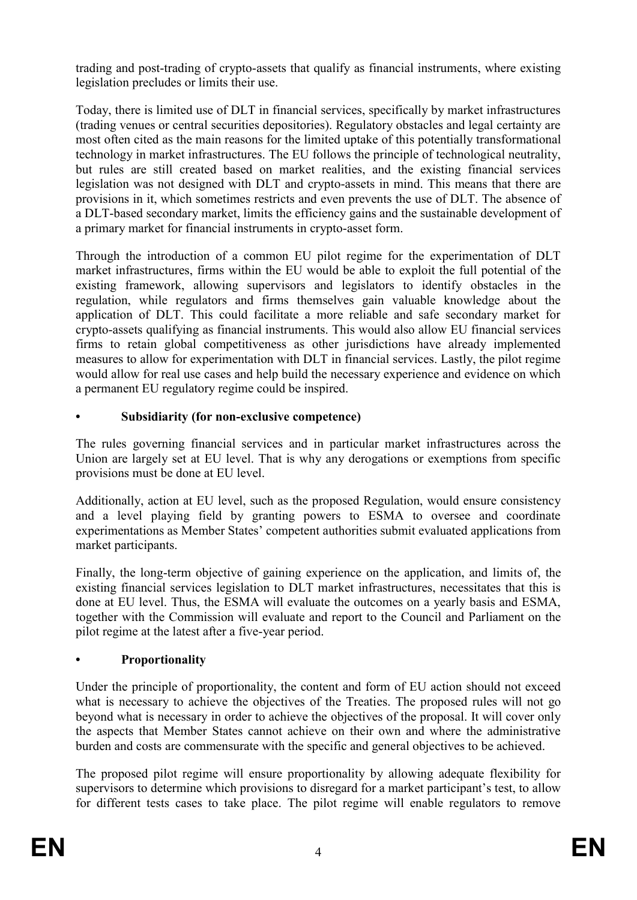trading and post-trading of crypto-assets that qualify as financial instruments, where existing legislation precludes or limits their use.

Today, there is limited use of DLT in financial services, specifically by market infrastructures (trading venues or central securities depositories). Regulatory obstacles and legal certainty are most often cited as the main reasons for the limited uptake of this potentially transformational technology in market infrastructures. The EU follows the principle of technological neutrality, but rules are still created based on market realities, and the existing financial services legislation was not designed with DLT and crypto-assets in mind. This means that there are provisions in it, which sometimes restricts and even prevents the use of DLT. The absence of a DLT-based secondary market, limits the efficiency gains and the sustainable development of a primary market for financial instruments in crypto-asset form.

Through the introduction of a common EU pilot regime for the experimentation of DLT market infrastructures, firms within the EU would be able to exploit the full potential of the existing framework, allowing supervisors and legislators to identify obstacles in the regulation, while regulators and firms themselves gain valuable knowledge about the application of DLT. This could facilitate a more reliable and safe secondary market for crypto-assets qualifying as financial instruments. This would also allow EU financial services firms to retain global competitiveness as other jurisdictions have already implemented measures to allow for experimentation with DLT in financial services. Lastly, the pilot regime would allow for real use cases and help build the necessary experience and evidence on which a permanent EU regulatory regime could be inspired.

# **• Subsidiarity (for non-exclusive competence)**

The rules governing financial services and in particular market infrastructures across the Union are largely set at EU level. That is why any derogations or exemptions from specific provisions must be done at EU level.

Additionally, action at EU level, such as the proposed Regulation, would ensure consistency and a level playing field by granting powers to ESMA to oversee and coordinate experimentations as Member States' competent authorities submit evaluated applications from market participants.

Finally, the long-term objective of gaining experience on the application, and limits of, the existing financial services legislation to DLT market infrastructures, necessitates that this is done at EU level. Thus, the ESMA will evaluate the outcomes on a yearly basis and ESMA, together with the Commission will evaluate and report to the Council and Parliament on the pilot regime at the latest after a five-year period.

# **• Proportionality**

Under the principle of proportionality, the content and form of EU action should not exceed what is necessary to achieve the objectives of the Treaties. The proposed rules will not go beyond what is necessary in order to achieve the objectives of the proposal. It will cover only the aspects that Member States cannot achieve on their own and where the administrative burden and costs are commensurate with the specific and general objectives to be achieved.

The proposed pilot regime will ensure proportionality by allowing adequate flexibility for supervisors to determine which provisions to disregard for a market participant's test, to allow for different tests cases to take place. The pilot regime will enable regulators to remove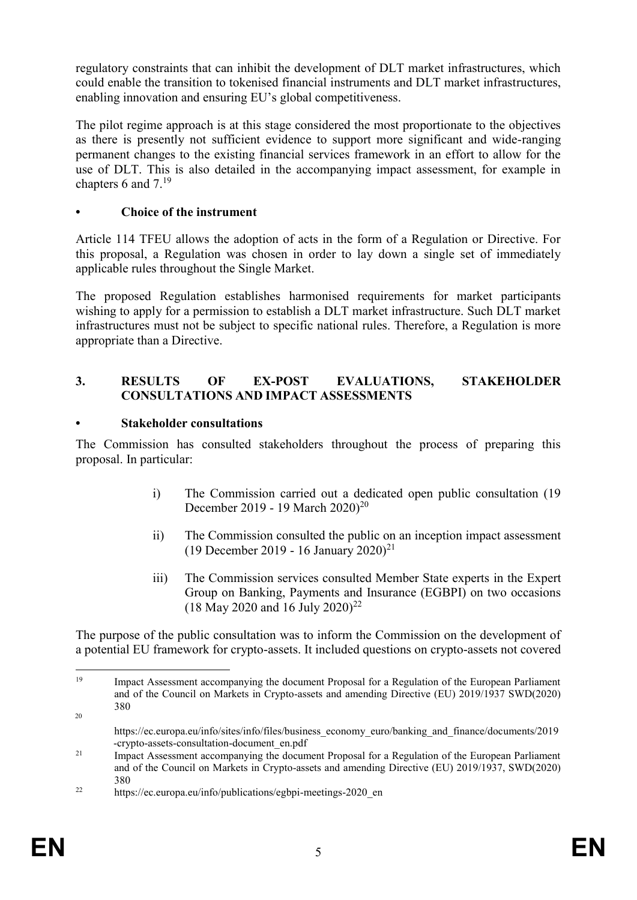regulatory constraints that can inhibit the development of DLT market infrastructures, which could enable the transition to tokenised financial instruments and DLT market infrastructures, enabling innovation and ensuring EU's global competitiveness.

The pilot regime approach is at this stage considered the most proportionate to the objectives as there is presently not sufficient evidence to support more significant and wide-ranging permanent changes to the existing financial services framework in an effort to allow for the use of DLT. This is also detailed in the accompanying impact assessment, for example in chapters 6 and  $7^{19}$ 

## **• Choice of the instrument**

Article 114 TFEU allows the adoption of acts in the form of a Regulation or Directive. For this proposal, a Regulation was chosen in order to lay down a single set of immediately applicable rules throughout the Single Market.

The proposed Regulation establishes harmonised requirements for market participants wishing to apply for a permission to establish a DLT market infrastructure. Such DLT market infrastructures must not be subject to specific national rules. Therefore, a Regulation is more appropriate than a Directive.

#### **3. RESULTS OF EX-POST EVALUATIONS, STAKEHOLDER CONSULTATIONS AND IMPACT ASSESSMENTS**

#### **• Stakeholder consultations**

The Commission has consulted stakeholders throughout the process of preparing this proposal. In particular:

- i) The Commission carried out a dedicated open public consultation (19 December 2019 - 19 March 2020)<sup>20</sup>
- ii) The Commission consulted the public on an inception impact assessment (19 December 2019 - 16 January 2020)<sup>21</sup>
- iii) The Commission services consulted Member State experts in the Expert Group on Banking, Payments and Insurance (EGBPI) on two occasions (18 May 2020 and 16 July 2020)<sup>22</sup>

The purpose of the public consultation was to inform the Commission on the development of a potential EU framework for crypto-assets. It included questions on crypto-assets not covered

<sup>1</sup> <sup>19</sup> Impact Assessment accompanying the document Proposal for a Regulation of the European Parliament and of the Council on Markets in Crypto-assets and amending Directive (EU) 2019/1937 SWD(2020) 380 20

https://ec.europa.eu/info/sites/info/files/business\_economy\_euro/banking\_and\_finance/documents/2019 -crypto-assets-consultation-document\_en.pdf

<sup>&</sup>lt;sup>21</sup> Impact Assessment accompanying the document Proposal for a Regulation of the European Parliament and of the Council on Markets in Crypto-assets and amending Directive (EU) 2019/1937, SWD(2020) 380

<sup>&</sup>lt;sup>22</sup> https://ec.europa.eu/info/publications/egbpi-meetings-2020 en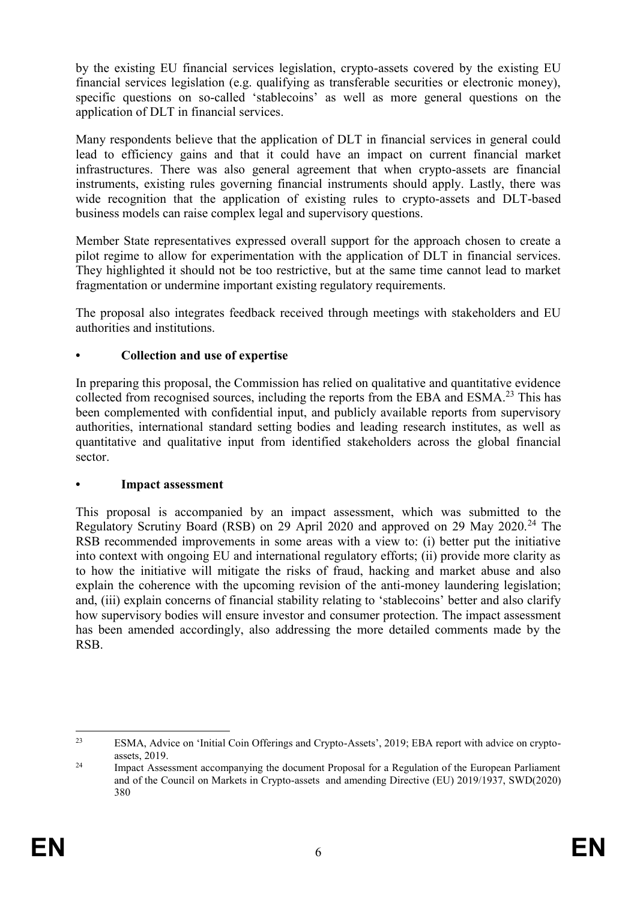by the existing EU financial services legislation, crypto-assets covered by the existing EU financial services legislation (e.g. qualifying as transferable securities or electronic money), specific questions on so-called 'stablecoins' as well as more general questions on the application of DLT in financial services.

Many respondents believe that the application of DLT in financial services in general could lead to efficiency gains and that it could have an impact on current financial market infrastructures. There was also general agreement that when crypto-assets are financial instruments, existing rules governing financial instruments should apply. Lastly, there was wide recognition that the application of existing rules to crypto-assets and DLT-based business models can raise complex legal and supervisory questions.

Member State representatives expressed overall support for the approach chosen to create a pilot regime to allow for experimentation with the application of DLT in financial services. They highlighted it should not be too restrictive, but at the same time cannot lead to market fragmentation or undermine important existing regulatory requirements.

The proposal also integrates feedback received through meetings with stakeholders and EU authorities and institutions.

## **• Collection and use of expertise**

In preparing this proposal, the Commission has relied on qualitative and quantitative evidence collected from recognised sources, including the reports from the EBA and ESMA.<sup>23</sup> This has been complemented with confidential input, and publicly available reports from supervisory authorities, international standard setting bodies and leading research institutes, as well as quantitative and qualitative input from identified stakeholders across the global financial sector.

## **• Impact assessment**

This proposal is accompanied by an impact assessment, which was submitted to the Regulatory Scrutiny Board (RSB) on 29 April 2020 and approved on 29 May 2020.<sup>24</sup> The RSB recommended improvements in some areas with a view to: (i) better put the initiative into context with ongoing EU and international regulatory efforts; (ii) provide more clarity as to how the initiative will mitigate the risks of fraud, hacking and market abuse and also explain the coherence with the upcoming revision of the anti-money laundering legislation; and, (iii) explain concerns of financial stability relating to 'stablecoins' better and also clarify how supervisory bodies will ensure investor and consumer protection. The impact assessment has been amended accordingly, also addressing the more detailed comments made by the RSB.

 $23$ <sup>23</sup> ESMA, Advice on 'Initial Coin Offerings and Crypto-Assets', 2019; EBA report with advice on cryptoassets, 2019.

<sup>&</sup>lt;sup>24</sup> Impact Assessment accompanying the document Proposal for a Regulation of the European Parliament and of the Council on Markets in Crypto-assets and amending Directive (EU) 2019/1937, SWD(2020) 380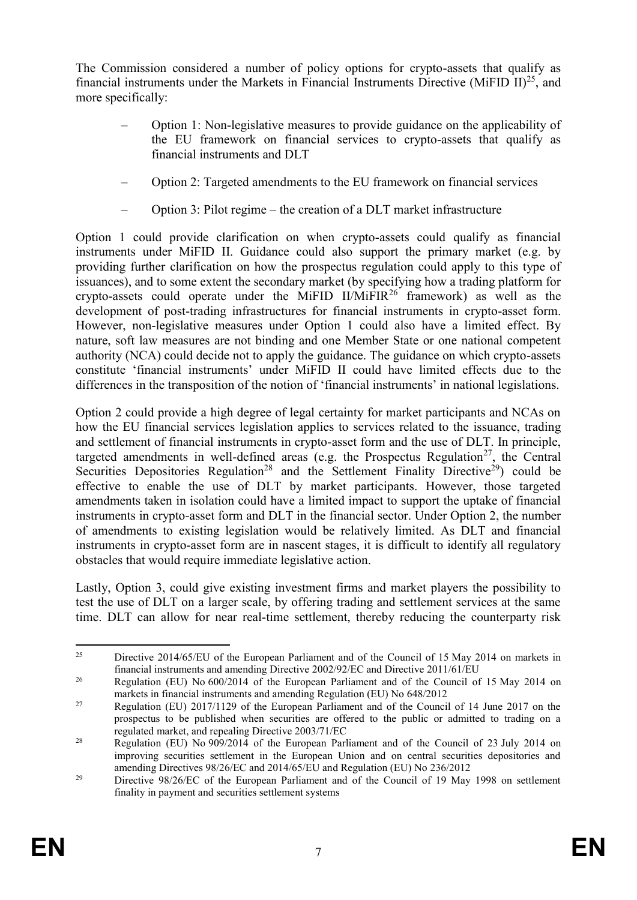The Commission considered a number of policy options for crypto-assets that qualify as financial instruments under the Markets in Financial Instruments Directive (MiFID II)<sup>25</sup>, and more specifically:

- Option 1: Non-legislative measures to provide guidance on the applicability of the EU framework on financial services to crypto-assets that qualify as financial instruments and DLT
- Option 2: Targeted amendments to the EU framework on financial services
- Option 3: Pilot regime the creation of a DLT market infrastructure

Option 1 could provide clarification on when crypto-assets could qualify as financial instruments under MiFID II. Guidance could also support the primary market (e.g. by providing further clarification on how the prospectus regulation could apply to this type of issuances), and to some extent the secondary market (by specifying how a trading platform for crypto-assets could operate under the MiFID II/MiFIR<sup>26</sup> framework) as well as the development of post-trading infrastructures for financial instruments in crypto-asset form. However, non-legislative measures under Option 1 could also have a limited effect. By nature, soft law measures are not binding and one Member State or one national competent authority (NCA) could decide not to apply the guidance. The guidance on which crypto-assets constitute 'financial instruments' under MiFID II could have limited effects due to the differences in the transposition of the notion of 'financial instruments' in national legislations.

Option 2 could provide a high degree of legal certainty for market participants and NCAs on how the EU financial services legislation applies to services related to the issuance, trading and settlement of financial instruments in crypto-asset form and the use of DLT. In principle, targeted amendments in well-defined areas (e.g. the Prospectus Regulation<sup>27</sup>, the Central Securities Depositories Regulation<sup>28</sup> and the Settlement Finality Directive<sup>29</sup>) could be effective to enable the use of DLT by market participants. However, those targeted amendments taken in isolation could have a limited impact to support the uptake of financial instruments in crypto-asset form and DLT in the financial sector. Under Option 2, the number of amendments to existing legislation would be relatively limited. As DLT and financial instruments in crypto-asset form are in nascent stages, it is difficult to identify all regulatory obstacles that would require immediate legislative action.

Lastly, Option 3, could give existing investment firms and market players the possibility to test the use of DLT on a larger scale, by offering trading and settlement services at the same time. DLT can allow for near real-time settlement, thereby reducing the counterparty risk

<sup>25</sup> <sup>25</sup> Directive 2014/65/EU of the European Parliament and of the Council of 15 May 2014 on markets in financial instruments and amending Directive 2002/92/EC and Directive 2011/61/EU

<sup>&</sup>lt;sup>26</sup> Regulation (EU) No 600/2014 of the European Parliament and of the Council of 15 May 2014 on markets in financial instruments and amending Regulation (EU) No 648/2012

<sup>&</sup>lt;sup>27</sup> Regulation (EU) 2017/1129 of the European Parliament and of the Council of 14 June 2017 on the prospectus to be published when securities are offered to the public or admitted to trading on a regulated market, and repealing Directive 2003/71/EC

<sup>&</sup>lt;sup>28</sup> Regulation (EU) No 909/2014 of the European Parliament and of the Council of 23 July 2014 on improving securities settlement in the European Union and on central securities depositories and amending Directives 98/26/EC and 2014/65/EU and Regulation (EU) No 236/2012

<sup>&</sup>lt;sup>29</sup> Directive 98/26/EC of the European Parliament and of the Council of 19 May 1998 on settlement finality in payment and securities settlement systems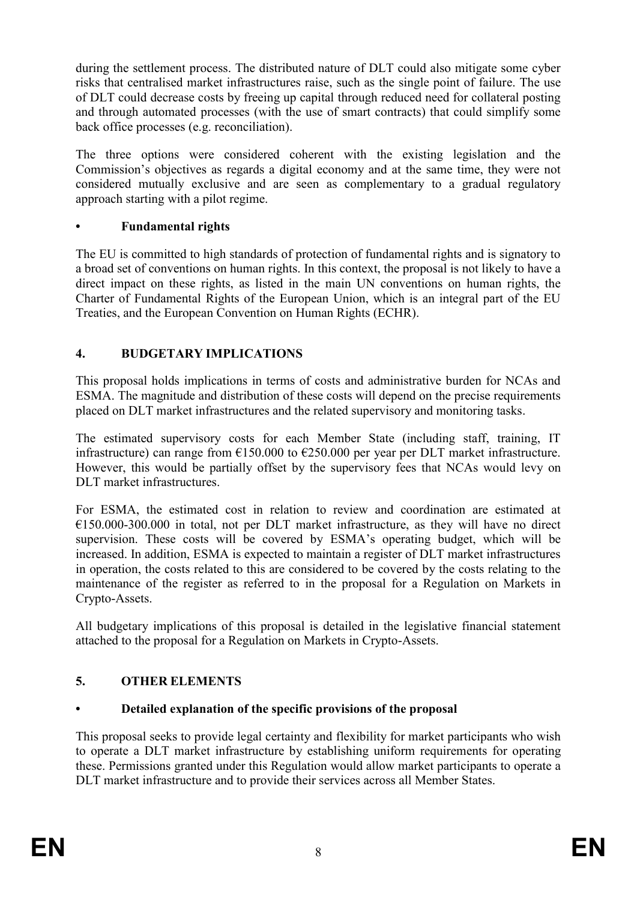during the settlement process. The distributed nature of DLT could also mitigate some cyber risks that centralised market infrastructures raise, such as the single point of failure. The use of DLT could decrease costs by freeing up capital through reduced need for collateral posting and through automated processes (with the use of smart contracts) that could simplify some back office processes (e.g. reconciliation).

The three options were considered coherent with the existing legislation and the Commission's objectives as regards a digital economy and at the same time, they were not considered mutually exclusive and are seen as complementary to a gradual regulatory approach starting with a pilot regime.

## **• Fundamental rights**

The EU is committed to high standards of protection of fundamental rights and is signatory to a broad set of conventions on human rights. In this context, the proposal is not likely to have a direct impact on these rights, as listed in the main UN conventions on human rights, the Charter of Fundamental Rights of the European Union, which is an integral part of the EU Treaties, and the European Convention on Human Rights (ECHR).

# **4. BUDGETARY IMPLICATIONS**

This proposal holds implications in terms of costs and administrative burden for NCAs and ESMA. The magnitude and distribution of these costs will depend on the precise requirements placed on DLT market infrastructures and the related supervisory and monitoring tasks.

The estimated supervisory costs for each Member State (including staff, training, IT infrastructure) can range from €150.000 to €250.000 per year per DLT market infrastructure. However, this would be partially offset by the supervisory fees that NCAs would levy on DLT market infrastructures.

For ESMA, the estimated cost in relation to review and coordination are estimated at  $€150.000-300.000$  in total, not per DLT market infrastructure, as they will have no direct supervision. These costs will be covered by ESMA's operating budget, which will be increased. In addition, ESMA is expected to maintain a register of DLT market infrastructures in operation, the costs related to this are considered to be covered by the costs relating to the maintenance of the register as referred to in the proposal for a Regulation on Markets in Crypto-Assets.

All budgetary implications of this proposal is detailed in the legislative financial statement attached to the proposal for a Regulation on Markets in Crypto-Assets.

# **5. OTHER ELEMENTS**

## **• Detailed explanation of the specific provisions of the proposal**

This proposal seeks to provide legal certainty and flexibility for market participants who wish to operate a DLT market infrastructure by establishing uniform requirements for operating these. Permissions granted under this Regulation would allow market participants to operate a DLT market infrastructure and to provide their services across all Member States.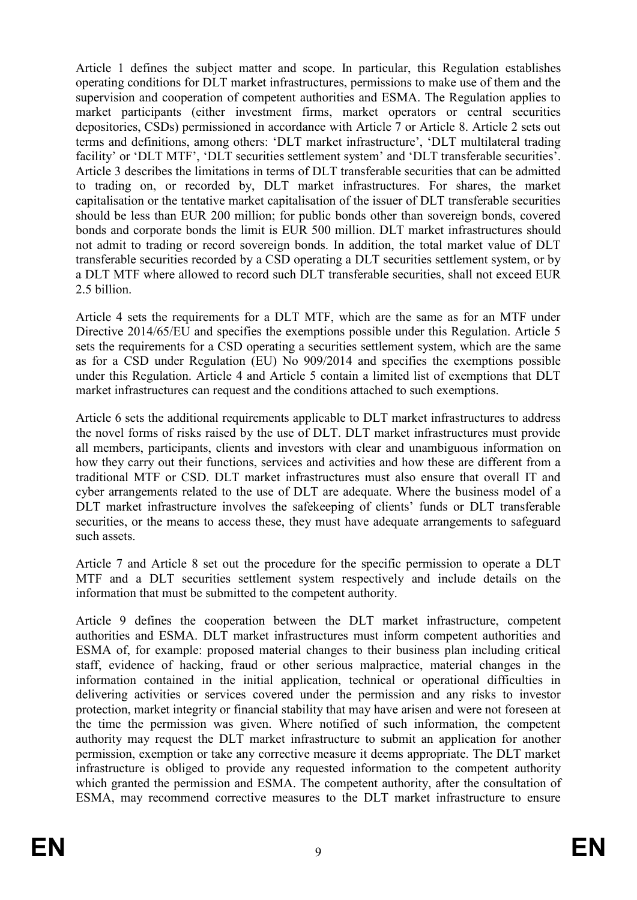Article 1 defines the subject matter and scope. In particular, this Regulation establishes operating conditions for DLT market infrastructures, permissions to make use of them and the supervision and cooperation of competent authorities and ESMA. The Regulation applies to market participants (either investment firms, market operators or central securities depositories, CSDs) permissioned in accordance with Article 7 or Article 8. Article 2 sets out terms and definitions, among others: 'DLT market infrastructure', 'DLT multilateral trading facility' or 'DLT MTF', 'DLT securities settlement system' and 'DLT transferable securities'. Article 3 describes the limitations in terms of DLT transferable securities that can be admitted to trading on, or recorded by, DLT market infrastructures. For shares, the market capitalisation or the tentative market capitalisation of the issuer of DLT transferable securities should be less than EUR 200 million; for public bonds other than sovereign bonds, covered bonds and corporate bonds the limit is EUR 500 million. DLT market infrastructures should not admit to trading or record sovereign bonds. In addition, the total market value of DLT transferable securities recorded by a CSD operating a DLT securities settlement system, or by a DLT MTF where allowed to record such DLT transferable securities, shall not exceed EUR 2.5 billion.

Article 4 sets the requirements for a DLT MTF, which are the same as for an MTF under Directive 2014/65/EU and specifies the exemptions possible under this Regulation. Article 5 sets the requirements for a CSD operating a securities settlement system, which are the same as for a CSD under Regulation (EU) No 909/2014 and specifies the exemptions possible under this Regulation. Article 4 and Article 5 contain a limited list of exemptions that DLT market infrastructures can request and the conditions attached to such exemptions.

Article 6 sets the additional requirements applicable to DLT market infrastructures to address the novel forms of risks raised by the use of DLT. DLT market infrastructures must provide all members, participants, clients and investors with clear and unambiguous information on how they carry out their functions, services and activities and how these are different from a traditional MTF or CSD. DLT market infrastructures must also ensure that overall IT and cyber arrangements related to the use of DLT are adequate. Where the business model of a DLT market infrastructure involves the safekeeping of clients' funds or DLT transferable securities, or the means to access these, they must have adequate arrangements to safeguard such assets.

Article 7 and Article 8 set out the procedure for the specific permission to operate a DLT MTF and a DLT securities settlement system respectively and include details on the information that must be submitted to the competent authority.

Article 9 defines the cooperation between the DLT market infrastructure, competent authorities and ESMA. DLT market infrastructures must inform competent authorities and ESMA of, for example: proposed material changes to their business plan including critical staff, evidence of hacking, fraud or other serious malpractice, material changes in the information contained in the initial application, technical or operational difficulties in delivering activities or services covered under the permission and any risks to investor protection, market integrity or financial stability that may have arisen and were not foreseen at the time the permission was given. Where notified of such information, the competent authority may request the DLT market infrastructure to submit an application for another permission, exemption or take any corrective measure it deems appropriate. The DLT market infrastructure is obliged to provide any requested information to the competent authority which granted the permission and ESMA. The competent authority, after the consultation of ESMA, may recommend corrective measures to the DLT market infrastructure to ensure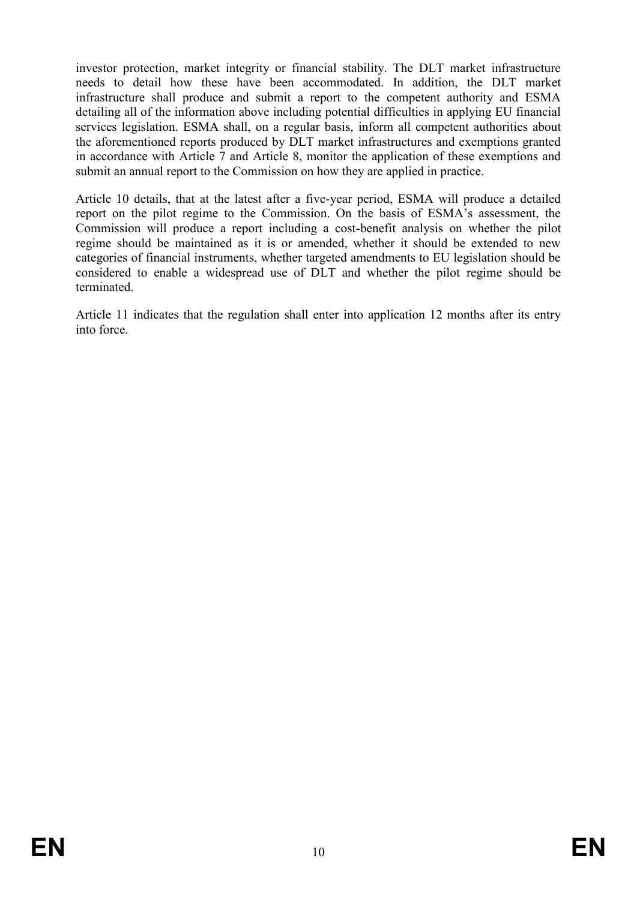investor protection, market integrity or financial stability. The DLT market infrastructure needs to detail how these have been accommodated. In addition, the DLT market infrastructure shall produce and submit a report to the competent authority and ESMA detailing all of the information above including potential difficulties in applying EU financial services legislation. ESMA shall, on a regular basis, inform all competent authorities about the aforementioned reports produced by DLT market infrastructures and exemptions granted in accordance with Article 7 and Article 8, monitor the application of these exemptions and submit an annual report to the Commission on how they are applied in practice.

Article 10 details, that at the latest after a five-year period, ESMA will produce a detailed report on the pilot regime to the Commission. On the basis of ESMA's assessment, the Commission will produce a report including a cost-benefit analysis on whether the pilot regime should be maintained as it is or amended, whether it should be extended to new categories of financial instruments, whether targeted amendments to EU legislation should be considered to enable a widespread use of DLT and whether the pilot regime should be terminated.

Article 11 indicates that the regulation shall enter into application 12 months after its entry into force.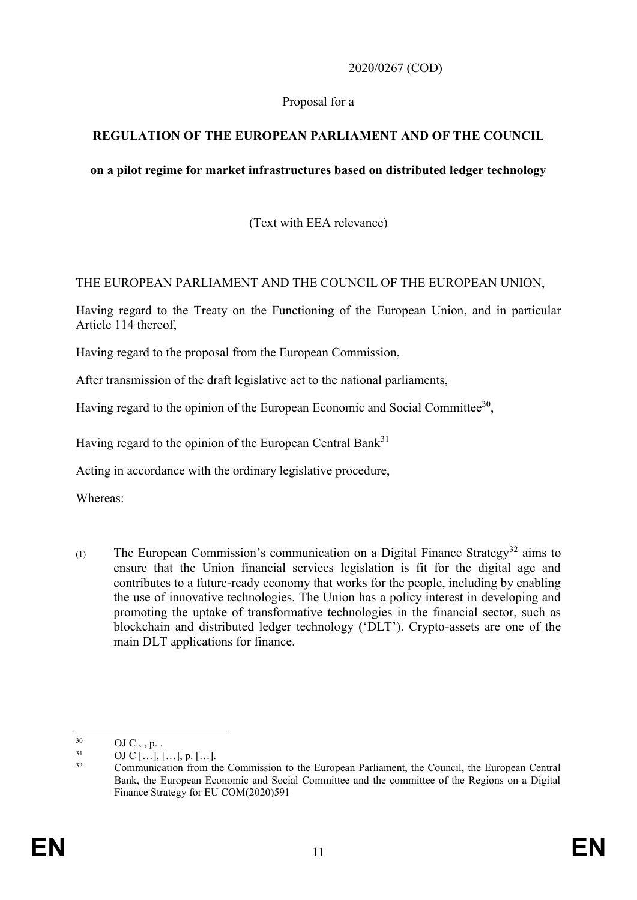## 2020/0267 (COD)

## Proposal for a

# **REGULATION OF THE EUROPEAN PARLIAMENT AND OF THE COUNCIL**

## **on a pilot regime for market infrastructures based on distributed ledger technology**

(Text with EEA relevance)

## THE EUROPEAN PARLIAMENT AND THE COUNCIL OF THE EUROPEAN UNION,

Having regard to the Treaty on the Functioning of the European Union, and in particular Article 114 thereof,

Having regard to the proposal from the European Commission,

After transmission of the draft legislative act to the national parliaments,

Having regard to the opinion of the European Economic and Social Committee<sup>30</sup>,

Having regard to the opinion of the European Central Bank $31$ 

Acting in accordance with the ordinary legislative procedure,

Whereas:

(1) The European Commission's communication on a Digital Finance Strategy<sup>32</sup> aims to ensure that the Union financial services legislation is fit for the digital age and contributes to a future-ready economy that works for the people, including by enabling the use of innovative technologies. The Union has a policy interest in developing and promoting the uptake of transformative technologies in the financial sector, such as blockchain and distributed ledger technology ('DLT'). Crypto-assets are one of the main DLT applications for finance.

 $30$  $^{30}$  OJ C , , p. .

 $^{31}$  OJ C [...], [...], p. [...].

<sup>&</sup>lt;sup>32</sup> Communication from the Commission to the European Parliament, the Council, the European Central Bank, the European Economic and Social Committee and the committee of the Regions on a Digital Finance Strategy for EU COM(2020)591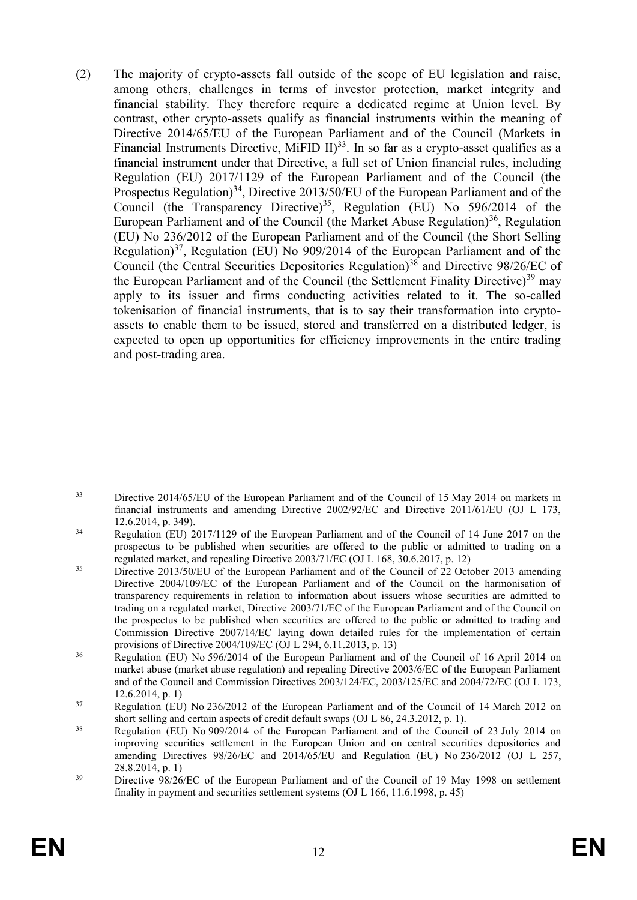(2) The majority of crypto-assets fall outside of the scope of EU legislation and raise, among others, challenges in terms of investor protection, market integrity and financial stability. They therefore require a dedicated regime at Union level. By contrast, other crypto-assets qualify as financial instruments within the meaning of Directive 2014/65/EU of the European Parliament and of the Council (Markets in Financial Instruments Directive, MiFID  $II$ )<sup>33</sup>. In so far as a crypto-asset qualifies as a financial instrument under that Directive, a full set of Union financial rules, including Regulation (EU) 2017/1129 of the European Parliament and of the Council (the Prospectus Regulation)<sup>34</sup>, Directive 2013/50/EU of the European Parliament and of the Council (the Transparency Directive)<sup>35</sup>, Regulation (EU) No 596/2014 of the European Parliament and of the Council (the Market Abuse Regulation)<sup>36</sup>, Regulation (EU) No 236/2012 of the European Parliament and of the Council (the Short Selling Regulation)<sup>37</sup>, Regulation (EU) No  $909/2014$  of the European Parliament and of the Council (the Central Securities Depositories Regulation)<sup>38</sup> and Directive 98/26/EC of the European Parliament and of the Council (the Settlement Finality Directive)<sup>39</sup> may apply to its issuer and firms conducting activities related to it. The so-called tokenisation of financial instruments, that is to say their transformation into cryptoassets to enable them to be issued, stored and transferred on a distributed ledger, is expected to open up opportunities for efficiency improvements in the entire trading and post-trading area.

<sup>33</sup> Directive 2014/65/EU of the European Parliament and of the Council of 15 May 2014 on markets in financial instruments and amending Directive 2002/92/EC and Directive 2011/61/EU (OJ L 173, 12.6.2014, p. 349).

<sup>&</sup>lt;sup>34</sup> Regulation (EU) 2017/1129 of the European Parliament and of the Council of 14 June 2017 on the prospectus to be published when securities are offered to the public or admitted to trading on a regulated market, and repealing Directive 2003/71/EC (OJ L 168, 30.6.2017, p. 12)

<sup>&</sup>lt;sup>35</sup> Directive 2013/50/EU of the European Parliament and of the Council of 22 October 2013 amending Directive 2004/109/EC of the European Parliament and of the Council on the harmonisation of transparency requirements in relation to information about issuers whose securities are admitted to trading on a regulated market, Directive 2003/71/EC of the European Parliament and of the Council on the prospectus to be published when securities are offered to the public or admitted to trading and Commission Directive 2007/14/EC laying down detailed rules for the implementation of certain provisions of Directive 2004/109/EC (OJ L 294, 6.11.2013, p. 13)

<sup>&</sup>lt;sup>36</sup> Regulation (EU) No 596/2014 of the European Parliament and of the Council of 16 April 2014 on market abuse (market abuse regulation) and repealing Directive 2003/6/EC of the European Parliament and of the Council and Commission Directives 2003/124/EC, 2003/125/EC and 2004/72/EC (OJ L 173, 12.6.2014, p. 1)

<sup>&</sup>lt;sup>37</sup> Regulation (EU) No 236/2012 of the European Parliament and of the Council of 14 March 2012 on short selling and certain aspects of credit default swaps (OJ L 86, 24.3.2012, p. 1).

<sup>&</sup>lt;sup>38</sup> Regulation (EU) No 909/2014 of the European Parliament and of the Council of 23 July 2014 on improving securities settlement in the European Union and on central securities depositories and amending Directives 98/26/EC and 2014/65/EU and Regulation (EU) No 236/2012 (OJ L 257, 28.8.2014, p. 1)

<sup>&</sup>lt;sup>39</sup> Directive 98/26/EC of the European Parliament and of the Council of 19 May 1998 on settlement finality in payment and securities settlement systems (OJ L 166, 11.6.1998, p. 45)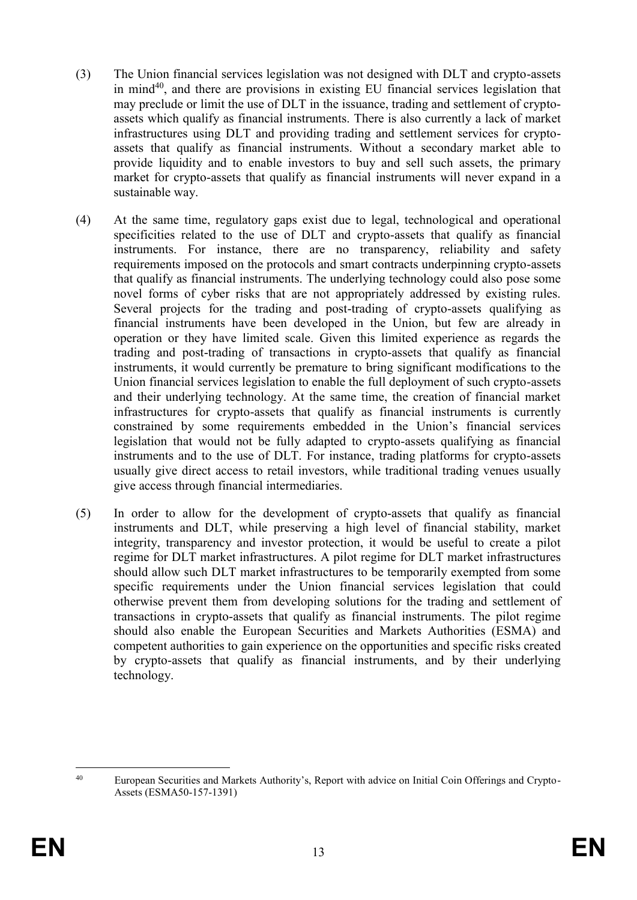- (3) The Union financial services legislation was not designed with DLT and crypto-assets in mind<sup>40</sup>, and there are provisions in existing EU financial services legislation that may preclude or limit the use of DLT in the issuance, trading and settlement of cryptoassets which qualify as financial instruments. There is also currently a lack of market infrastructures using DLT and providing trading and settlement services for cryptoassets that qualify as financial instruments. Without a secondary market able to provide liquidity and to enable investors to buy and sell such assets, the primary market for crypto-assets that qualify as financial instruments will never expand in a sustainable way.
- (4) At the same time, regulatory gaps exist due to legal, technological and operational specificities related to the use of DLT and crypto-assets that qualify as financial instruments. For instance, there are no transparency, reliability and safety requirements imposed on the protocols and smart contracts underpinning crypto-assets that qualify as financial instruments. The underlying technology could also pose some novel forms of cyber risks that are not appropriately addressed by existing rules. Several projects for the trading and post-trading of crypto-assets qualifying as financial instruments have been developed in the Union, but few are already in operation or they have limited scale. Given this limited experience as regards the trading and post-trading of transactions in crypto-assets that qualify as financial instruments, it would currently be premature to bring significant modifications to the Union financial services legislation to enable the full deployment of such crypto-assets and their underlying technology. At the same time, the creation of financial market infrastructures for crypto-assets that qualify as financial instruments is currently constrained by some requirements embedded in the Union's financial services legislation that would not be fully adapted to crypto-assets qualifying as financial instruments and to the use of DLT. For instance, trading platforms for crypto-assets usually give direct access to retail investors, while traditional trading venues usually give access through financial intermediaries.
- (5) In order to allow for the development of crypto-assets that qualify as financial instruments and DLT, while preserving a high level of financial stability, market integrity, transparency and investor protection, it would be useful to create a pilot regime for DLT market infrastructures. A pilot regime for DLT market infrastructures should allow such DLT market infrastructures to be temporarily exempted from some specific requirements under the Union financial services legislation that could otherwise prevent them from developing solutions for the trading and settlement of transactions in crypto-assets that qualify as financial instruments. The pilot regime should also enable the European Securities and Markets Authorities (ESMA) and competent authorities to gain experience on the opportunities and specific risks created by crypto-assets that qualify as financial instruments, and by their underlying technology.

 $40$ <sup>40</sup> European Securities and Markets Authority's, Report with advice on Initial Coin Offerings and Crypto-Assets (ESMA50-157-1391)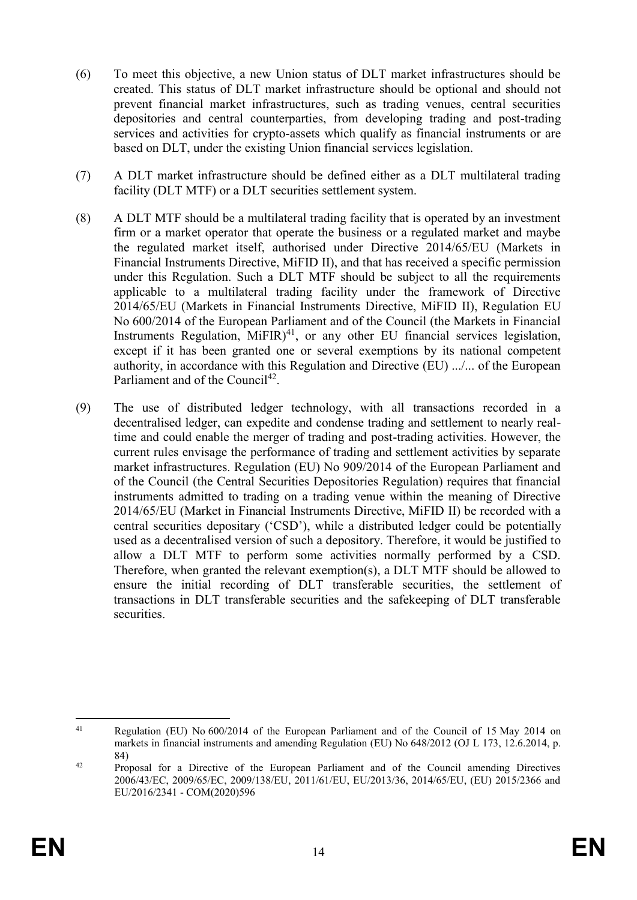- (6) To meet this objective, a new Union status of DLT market infrastructures should be created. This status of DLT market infrastructure should be optional and should not prevent financial market infrastructures, such as trading venues, central securities depositories and central counterparties, from developing trading and post-trading services and activities for crypto-assets which qualify as financial instruments or are based on DLT, under the existing Union financial services legislation.
- (7) A DLT market infrastructure should be defined either as a DLT multilateral trading facility (DLT MTF) or a DLT securities settlement system.
- (8) A DLT MTF should be a multilateral trading facility that is operated by an investment firm or a market operator that operate the business or a regulated market and maybe the regulated market itself, authorised under Directive 2014/65/EU (Markets in Financial Instruments Directive, MiFID II), and that has received a specific permission under this Regulation. Such a DLT MTF should be subject to all the requirements applicable to a multilateral trading facility under the framework of Directive 2014/65/EU (Markets in Financial Instruments Directive, MiFID II), Regulation EU No 600/2014 of the European Parliament and of the Council (the Markets in Financial Instruments Regulation,  $MIFIR$ <sup>41</sup>, or any other EU financial services legislation, except if it has been granted one or several exemptions by its national competent authority, in accordance with this Regulation and Directive (EU) .../... of the European Parliament and of the Council<sup>42</sup>.
- (9) The use of distributed ledger technology, with all transactions recorded in a decentralised ledger, can expedite and condense trading and settlement to nearly realtime and could enable the merger of trading and post-trading activities. However, the current rules envisage the performance of trading and settlement activities by separate market infrastructures. Regulation (EU) No 909/2014 of the European Parliament and of the Council (the Central Securities Depositories Regulation) requires that financial instruments admitted to trading on a trading venue within the meaning of Directive 2014/65/EU (Market in Financial Instruments Directive, MiFID II) be recorded with a central securities depositary ('CSD'), while a distributed ledger could be potentially used as a decentralised version of such a depository. Therefore, it would be justified to allow a DLT MTF to perform some activities normally performed by a CSD. Therefore, when granted the relevant exemption(s), a DLT MTF should be allowed to ensure the initial recording of DLT transferable securities, the settlement of transactions in DLT transferable securities and the safekeeping of DLT transferable securities.

 $\overline{a}$ <sup>41</sup> Regulation (EU) No 600/2014 of the European Parliament and of the Council of 15 May 2014 on markets in financial instruments and amending Regulation (EU) No 648/2012 (OJ L 173, 12.6.2014, p. 84)

<sup>&</sup>lt;sup>42</sup> Proposal for a Directive of the European Parliament and of the Council amending Directives 2006/43/EC, 2009/65/EC, 2009/138/EU, 2011/61/EU, EU/2013/36, 2014/65/EU, (EU) 2015/2366 and EU/2016/2341 - COM(2020)596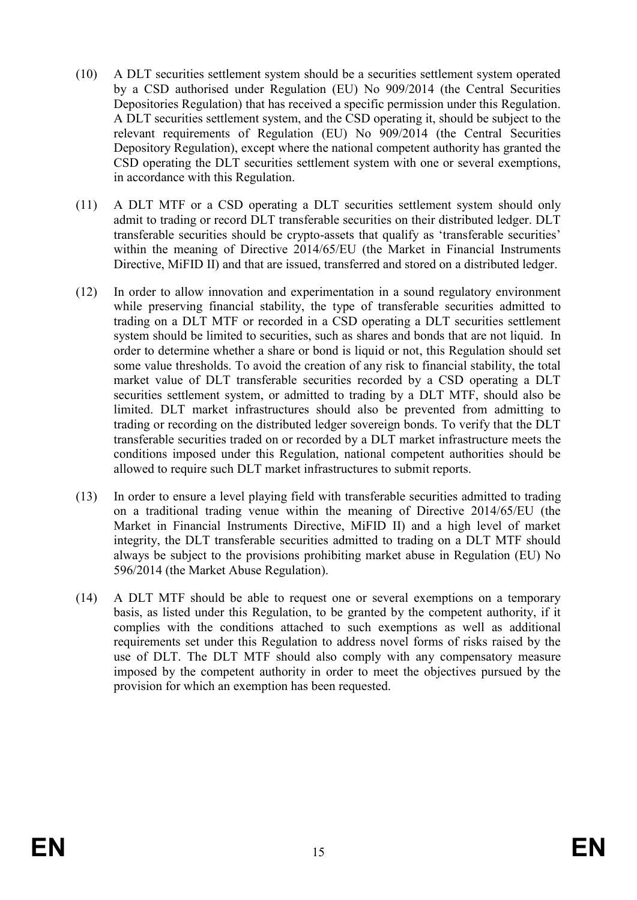- (10) A DLT securities settlement system should be a securities settlement system operated by a CSD authorised under Regulation (EU) No 909/2014 (the Central Securities Depositories Regulation) that has received a specific permission under this Regulation. A DLT securities settlement system, and the CSD operating it, should be subject to the relevant requirements of Regulation (EU) No 909/2014 (the Central Securities Depository Regulation), except where the national competent authority has granted the CSD operating the DLT securities settlement system with one or several exemptions, in accordance with this Regulation.
- (11) A DLT MTF or a CSD operating a DLT securities settlement system should only admit to trading or record DLT transferable securities on their distributed ledger. DLT transferable securities should be crypto-assets that qualify as 'transferable securities' within the meaning of Directive 2014/65/EU (the Market in Financial Instruments Directive, MiFID II) and that are issued, transferred and stored on a distributed ledger.
- (12) In order to allow innovation and experimentation in a sound regulatory environment while preserving financial stability, the type of transferable securities admitted to trading on a DLT MTF or recorded in a CSD operating a DLT securities settlement system should be limited to securities, such as shares and bonds that are not liquid. In order to determine whether a share or bond is liquid or not, this Regulation should set some value thresholds. To avoid the creation of any risk to financial stability, the total market value of DLT transferable securities recorded by a CSD operating a DLT securities settlement system, or admitted to trading by a DLT MTF, should also be limited. DLT market infrastructures should also be prevented from admitting to trading or recording on the distributed ledger sovereign bonds. To verify that the DLT transferable securities traded on or recorded by a DLT market infrastructure meets the conditions imposed under this Regulation, national competent authorities should be allowed to require such DLT market infrastructures to submit reports.
- (13) In order to ensure a level playing field with transferable securities admitted to trading on a traditional trading venue within the meaning of Directive 2014/65/EU (the Market in Financial Instruments Directive, MiFID II) and a high level of market integrity, the DLT transferable securities admitted to trading on a DLT MTF should always be subject to the provisions prohibiting market abuse in Regulation (EU) No 596/2014 (the Market Abuse Regulation).
- (14) A DLT MTF should be able to request one or several exemptions on a temporary basis, as listed under this Regulation, to be granted by the competent authority, if it complies with the conditions attached to such exemptions as well as additional requirements set under this Regulation to address novel forms of risks raised by the use of DLT. The DLT MTF should also comply with any compensatory measure imposed by the competent authority in order to meet the objectives pursued by the provision for which an exemption has been requested.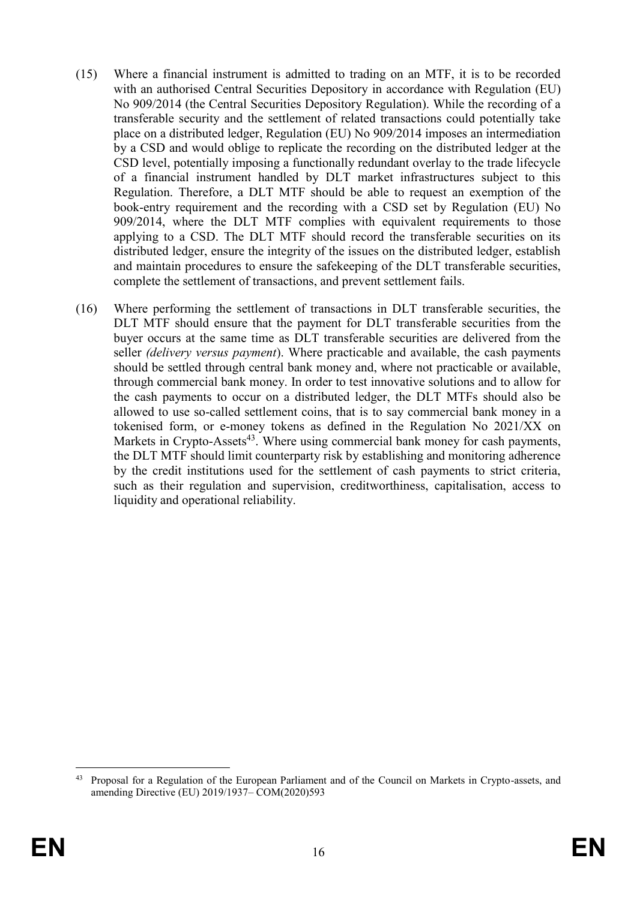- (15) Where a financial instrument is admitted to trading on an MTF, it is to be recorded with an authorised Central Securities Depository in accordance with Regulation (EU) No 909/2014 (the Central Securities Depository Regulation). While the recording of a transferable security and the settlement of related transactions could potentially take place on a distributed ledger, Regulation (EU) No 909/2014 imposes an intermediation by a CSD and would oblige to replicate the recording on the distributed ledger at the CSD level, potentially imposing a functionally redundant overlay to the trade lifecycle of a financial instrument handled by DLT market infrastructures subject to this Regulation. Therefore, a DLT MTF should be able to request an exemption of the book-entry requirement and the recording with a CSD set by Regulation (EU) No 909/2014, where the DLT MTF complies with equivalent requirements to those applying to a CSD. The DLT MTF should record the transferable securities on its distributed ledger, ensure the integrity of the issues on the distributed ledger, establish and maintain procedures to ensure the safekeeping of the DLT transferable securities, complete the settlement of transactions, and prevent settlement fails.
- (16) Where performing the settlement of transactions in DLT transferable securities, the DLT MTF should ensure that the payment for DLT transferable securities from the buyer occurs at the same time as DLT transferable securities are delivered from the seller *(delivery versus payment*). Where practicable and available, the cash payments should be settled through central bank money and, where not practicable or available, through commercial bank money. In order to test innovative solutions and to allow for the cash payments to occur on a distributed ledger, the DLT MTFs should also be allowed to use so-called settlement coins, that is to say commercial bank money in a tokenised form, or e-money tokens as defined in the Regulation No 2021/XX on Markets in Crypto-Assets $43$ . Where using commercial bank money for cash payments, the DLT MTF should limit counterparty risk by establishing and monitoring adherence by the credit institutions used for the settlement of cash payments to strict criteria, such as their regulation and supervision, creditworthiness, capitalisation, access to liquidity and operational reliability.

 $\overline{a}$ <sup>43</sup> Proposal for a Regulation of the European Parliament and of the Council on Markets in Crypto-assets, and amending Directive (EU) 2019/1937– COM(2020)593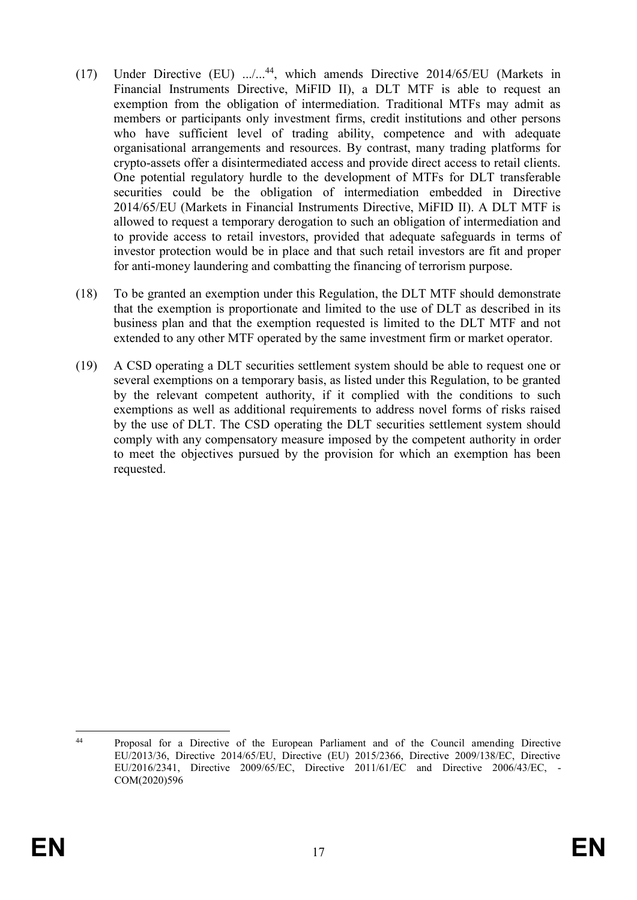- (17) Under Directive (EU) .../...<sup>44</sup>, which amends Directive 2014/65/EU (Markets in Financial Instruments Directive, MiFID II), a DLT MTF is able to request an exemption from the obligation of intermediation. Traditional MTFs may admit as members or participants only investment firms, credit institutions and other persons who have sufficient level of trading ability, competence and with adequate organisational arrangements and resources. By contrast, many trading platforms for crypto-assets offer a disintermediated access and provide direct access to retail clients. One potential regulatory hurdle to the development of MTFs for DLT transferable securities could be the obligation of intermediation embedded in Directive 2014/65/EU (Markets in Financial Instruments Directive, MiFID II). A DLT MTF is allowed to request a temporary derogation to such an obligation of intermediation and to provide access to retail investors, provided that adequate safeguards in terms of investor protection would be in place and that such retail investors are fit and proper for anti-money laundering and combatting the financing of terrorism purpose.
- (18) To be granted an exemption under this Regulation, the DLT MTF should demonstrate that the exemption is proportionate and limited to the use of DLT as described in its business plan and that the exemption requested is limited to the DLT MTF and not extended to any other MTF operated by the same investment firm or market operator.
- (19) A CSD operating a DLT securities settlement system should be able to request one or several exemptions on a temporary basis, as listed under this Regulation, to be granted by the relevant competent authority, if it complied with the conditions to such exemptions as well as additional requirements to address novel forms of risks raised by the use of DLT. The CSD operating the DLT securities settlement system should comply with any compensatory measure imposed by the competent authority in order to meet the objectives pursued by the provision for which an exemption has been requested.

 $44$ <sup>44</sup> Proposal for a Directive of the European Parliament and of the Council amending Directive EU/2013/36, Directive 2014/65/EU, Directive (EU) 2015/2366, Directive 2009/138/EC, Directive EU/2016/2341, Directive 2009/65/EC, Directive 2011/61/EC and Directive 2006/43/EC, - COM(2020)596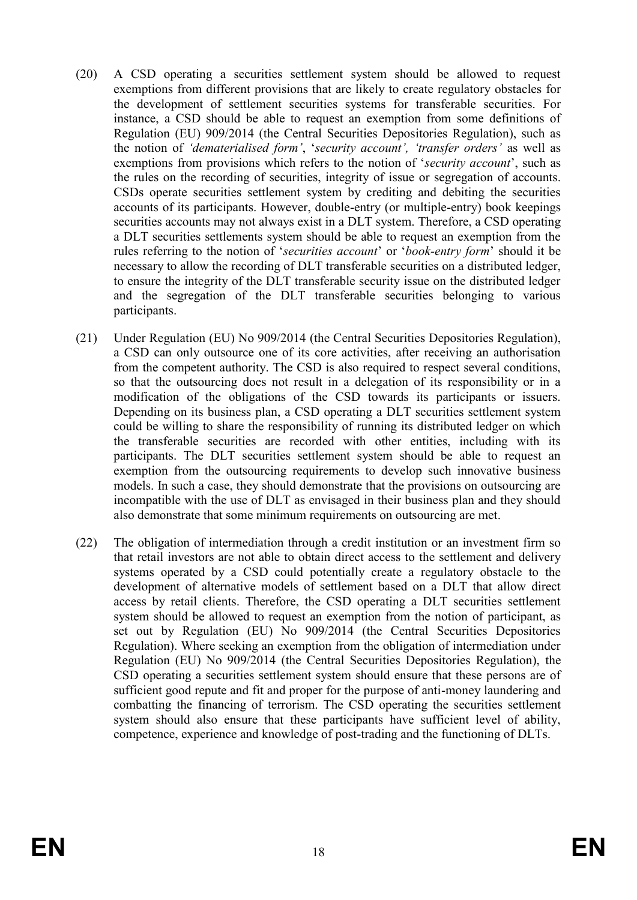- (20) A CSD operating a securities settlement system should be allowed to request exemptions from different provisions that are likely to create regulatory obstacles for the development of settlement securities systems for transferable securities. For instance, a CSD should be able to request an exemption from some definitions of Regulation (EU) 909/2014 (the Central Securities Depositories Regulation), such as the notion of *'dematerialised form'*, '*security account', 'transfer orders'* as well as exemptions from provisions which refers to the notion of '*security account*', such as the rules on the recording of securities, integrity of issue or segregation of accounts. CSDs operate securities settlement system by crediting and debiting the securities accounts of its participants. However, double-entry (or multiple-entry) book keepings securities accounts may not always exist in a DLT system. Therefore, a CSD operating a DLT securities settlements system should be able to request an exemption from the rules referring to the notion of '*securities account*' or '*book-entry form*' should it be necessary to allow the recording of DLT transferable securities on a distributed ledger, to ensure the integrity of the DLT transferable security issue on the distributed ledger and the segregation of the DLT transferable securities belonging to various participants.
- (21) Under Regulation (EU) No 909/2014 (the Central Securities Depositories Regulation), a CSD can only outsource one of its core activities, after receiving an authorisation from the competent authority. The CSD is also required to respect several conditions, so that the outsourcing does not result in a delegation of its responsibility or in a modification of the obligations of the CSD towards its participants or issuers. Depending on its business plan, a CSD operating a DLT securities settlement system could be willing to share the responsibility of running its distributed ledger on which the transferable securities are recorded with other entities, including with its participants. The DLT securities settlement system should be able to request an exemption from the outsourcing requirements to develop such innovative business models. In such a case, they should demonstrate that the provisions on outsourcing are incompatible with the use of DLT as envisaged in their business plan and they should also demonstrate that some minimum requirements on outsourcing are met.
- (22) The obligation of intermediation through a credit institution or an investment firm so that retail investors are not able to obtain direct access to the settlement and delivery systems operated by a CSD could potentially create a regulatory obstacle to the development of alternative models of settlement based on a DLT that allow direct access by retail clients. Therefore, the CSD operating a DLT securities settlement system should be allowed to request an exemption from the notion of participant, as set out by Regulation (EU) No 909/2014 (the Central Securities Depositories Regulation). Where seeking an exemption from the obligation of intermediation under Regulation (EU) No 909/2014 (the Central Securities Depositories Regulation), the CSD operating a securities settlement system should ensure that these persons are of sufficient good repute and fit and proper for the purpose of anti-money laundering and combatting the financing of terrorism. The CSD operating the securities settlement system should also ensure that these participants have sufficient level of ability, competence, experience and knowledge of post-trading and the functioning of DLTs.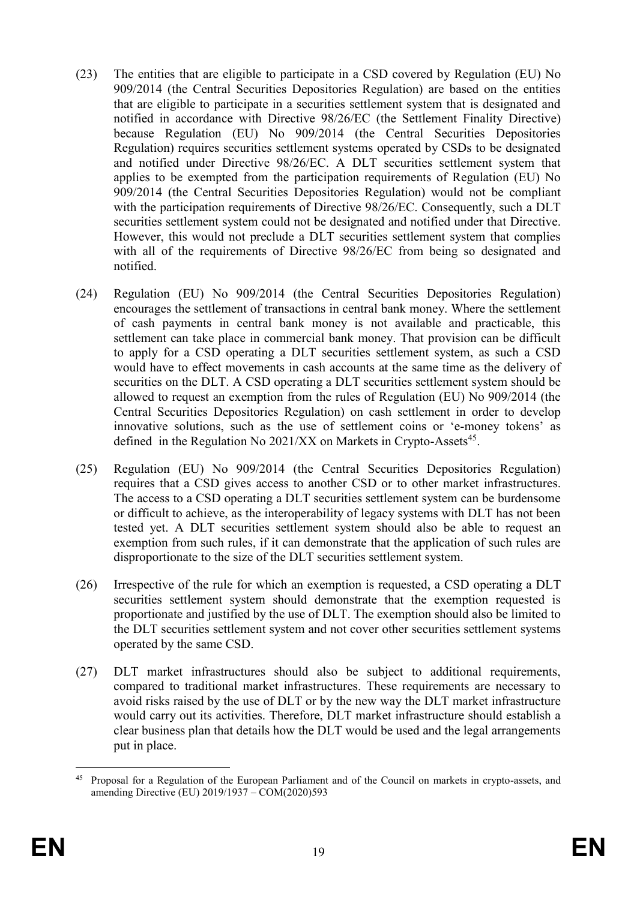- (23) The entities that are eligible to participate in a CSD covered by Regulation (EU) No 909/2014 (the Central Securities Depositories Regulation) are based on the entities that are eligible to participate in a securities settlement system that is designated and notified in accordance with Directive 98/26/EC (the Settlement Finality Directive) because Regulation (EU) No 909/2014 (the Central Securities Depositories Regulation) requires securities settlement systems operated by CSDs to be designated and notified under Directive 98/26/EC. A DLT securities settlement system that applies to be exempted from the participation requirements of Regulation (EU) No 909/2014 (the Central Securities Depositories Regulation) would not be compliant with the participation requirements of Directive 98/26/EC. Consequently, such a DLT securities settlement system could not be designated and notified under that Directive. However, this would not preclude a DLT securities settlement system that complies with all of the requirements of Directive 98/26/EC from being so designated and notified.
- (24) Regulation (EU) No 909/2014 (the Central Securities Depositories Regulation) encourages the settlement of transactions in central bank money. Where the settlement of cash payments in central bank money is not available and practicable, this settlement can take place in commercial bank money. That provision can be difficult to apply for a CSD operating a DLT securities settlement system, as such a CSD would have to effect movements in cash accounts at the same time as the delivery of securities on the DLT. A CSD operating a DLT securities settlement system should be allowed to request an exemption from the rules of Regulation (EU) No 909/2014 (the Central Securities Depositories Regulation) on cash settlement in order to develop innovative solutions, such as the use of settlement coins or 'e-money tokens' as defined in the Regulation No  $2021/XX$  on Markets in Crypto-Assets<sup>45</sup>.
- (25) Regulation (EU) No 909/2014 (the Central Securities Depositories Regulation) requires that a CSD gives access to another CSD or to other market infrastructures. The access to a CSD operating a DLT securities settlement system can be burdensome or difficult to achieve, as the interoperability of legacy systems with DLT has not been tested yet. A DLT securities settlement system should also be able to request an exemption from such rules, if it can demonstrate that the application of such rules are disproportionate to the size of the DLT securities settlement system.
- (26) Irrespective of the rule for which an exemption is requested, a CSD operating a DLT securities settlement system should demonstrate that the exemption requested is proportionate and justified by the use of DLT. The exemption should also be limited to the DLT securities settlement system and not cover other securities settlement systems operated by the same CSD.
- (27) DLT market infrastructures should also be subject to additional requirements, compared to traditional market infrastructures. These requirements are necessary to avoid risks raised by the use of DLT or by the new way the DLT market infrastructure would carry out its activities. Therefore, DLT market infrastructure should establish a clear business plan that details how the DLT would be used and the legal arrangements put in place.

<sup>45</sup> <sup>45</sup> Proposal for a Regulation of the European Parliament and of the Council on markets in crypto-assets, and amending Directive (EU) 2019/1937 – COM(2020)593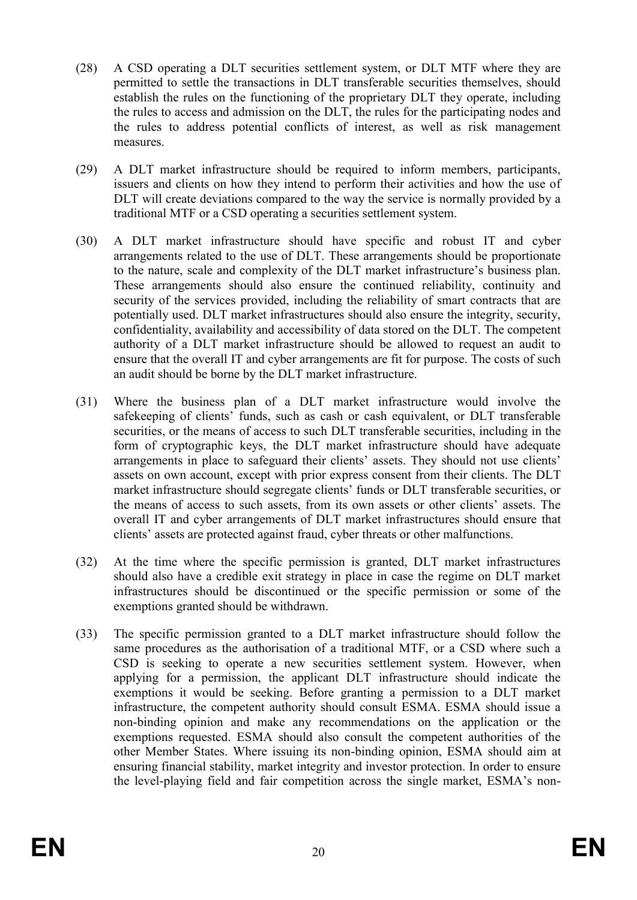- (28) A CSD operating a DLT securities settlement system, or DLT MTF where they are permitted to settle the transactions in DLT transferable securities themselves, should establish the rules on the functioning of the proprietary DLT they operate, including the rules to access and admission on the DLT, the rules for the participating nodes and the rules to address potential conflicts of interest, as well as risk management measures.
- (29) A DLT market infrastructure should be required to inform members, participants, issuers and clients on how they intend to perform their activities and how the use of DLT will create deviations compared to the way the service is normally provided by a traditional MTF or a CSD operating a securities settlement system.
- (30) A DLT market infrastructure should have specific and robust IT and cyber arrangements related to the use of DLT. These arrangements should be proportionate to the nature, scale and complexity of the DLT market infrastructure's business plan. These arrangements should also ensure the continued reliability, continuity and security of the services provided, including the reliability of smart contracts that are potentially used. DLT market infrastructures should also ensure the integrity, security, confidentiality, availability and accessibility of data stored on the DLT. The competent authority of a DLT market infrastructure should be allowed to request an audit to ensure that the overall IT and cyber arrangements are fit for purpose. The costs of such an audit should be borne by the DLT market infrastructure.
- (31) Where the business plan of a DLT market infrastructure would involve the safekeeping of clients' funds, such as cash or cash equivalent, or DLT transferable securities, or the means of access to such DLT transferable securities, including in the form of cryptographic keys, the DLT market infrastructure should have adequate arrangements in place to safeguard their clients' assets. They should not use clients' assets on own account, except with prior express consent from their clients. The DLT market infrastructure should segregate clients' funds or DLT transferable securities, or the means of access to such assets, from its own assets or other clients' assets. The overall IT and cyber arrangements of DLT market infrastructures should ensure that clients' assets are protected against fraud, cyber threats or other malfunctions.
- (32) At the time where the specific permission is granted, DLT market infrastructures should also have a credible exit strategy in place in case the regime on DLT market infrastructures should be discontinued or the specific permission or some of the exemptions granted should be withdrawn.
- (33) The specific permission granted to a DLT market infrastructure should follow the same procedures as the authorisation of a traditional MTF, or a CSD where such a CSD is seeking to operate a new securities settlement system. However, when applying for a permission, the applicant DLT infrastructure should indicate the exemptions it would be seeking. Before granting a permission to a DLT market infrastructure, the competent authority should consult ESMA. ESMA should issue a non-binding opinion and make any recommendations on the application or the exemptions requested. ESMA should also consult the competent authorities of the other Member States. Where issuing its non-binding opinion, ESMA should aim at ensuring financial stability, market integrity and investor protection. In order to ensure the level-playing field and fair competition across the single market, ESMA's non-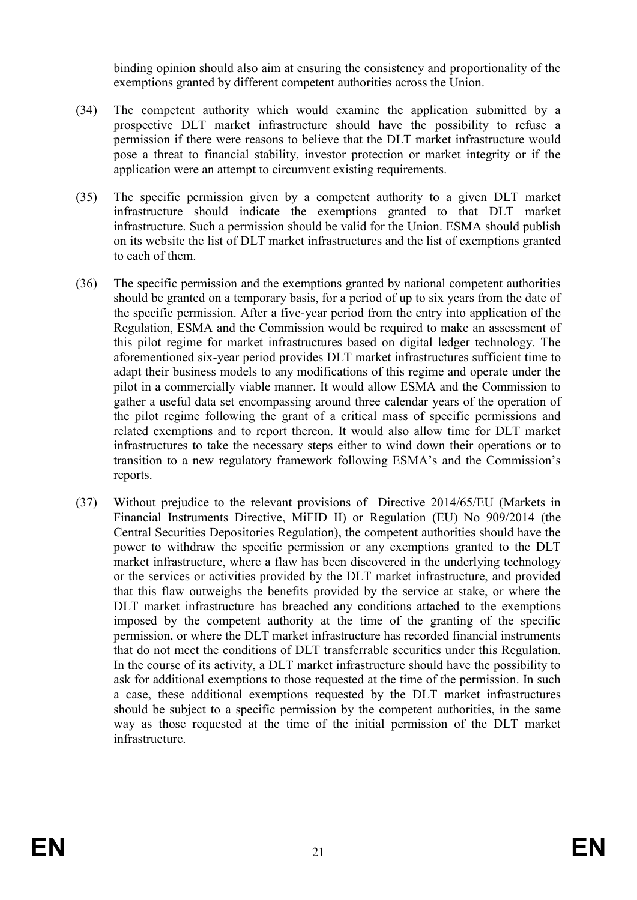binding opinion should also aim at ensuring the consistency and proportionality of the exemptions granted by different competent authorities across the Union.

- (34) The competent authority which would examine the application submitted by a prospective DLT market infrastructure should have the possibility to refuse a permission if there were reasons to believe that the DLT market infrastructure would pose a threat to financial stability, investor protection or market integrity or if the application were an attempt to circumvent existing requirements.
- (35) The specific permission given by a competent authority to a given DLT market infrastructure should indicate the exemptions granted to that DLT market infrastructure. Such a permission should be valid for the Union. ESMA should publish on its website the list of DLT market infrastructures and the list of exemptions granted to each of them.
- (36) The specific permission and the exemptions granted by national competent authorities should be granted on a temporary basis, for a period of up to six years from the date of the specific permission. After a five-year period from the entry into application of the Regulation, ESMA and the Commission would be required to make an assessment of this pilot regime for market infrastructures based on digital ledger technology. The aforementioned six-year period provides DLT market infrastructures sufficient time to adapt their business models to any modifications of this regime and operate under the pilot in a commercially viable manner. It would allow ESMA and the Commission to gather a useful data set encompassing around three calendar years of the operation of the pilot regime following the grant of a critical mass of specific permissions and related exemptions and to report thereon. It would also allow time for DLT market infrastructures to take the necessary steps either to wind down their operations or to transition to a new regulatory framework following ESMA's and the Commission's reports.
- (37) Without prejudice to the relevant provisions of Directive 2014/65/EU (Markets in Financial Instruments Directive, MiFID II) or Regulation (EU) No 909/2014 (the Central Securities Depositories Regulation), the competent authorities should have the power to withdraw the specific permission or any exemptions granted to the DLT market infrastructure, where a flaw has been discovered in the underlying technology or the services or activities provided by the DLT market infrastructure, and provided that this flaw outweighs the benefits provided by the service at stake, or where the DLT market infrastructure has breached any conditions attached to the exemptions imposed by the competent authority at the time of the granting of the specific permission, or where the DLT market infrastructure has recorded financial instruments that do not meet the conditions of DLT transferrable securities under this Regulation. In the course of its activity, a DLT market infrastructure should have the possibility to ask for additional exemptions to those requested at the time of the permission. In such a case, these additional exemptions requested by the DLT market infrastructures should be subject to a specific permission by the competent authorities, in the same way as those requested at the time of the initial permission of the DLT market infrastructure.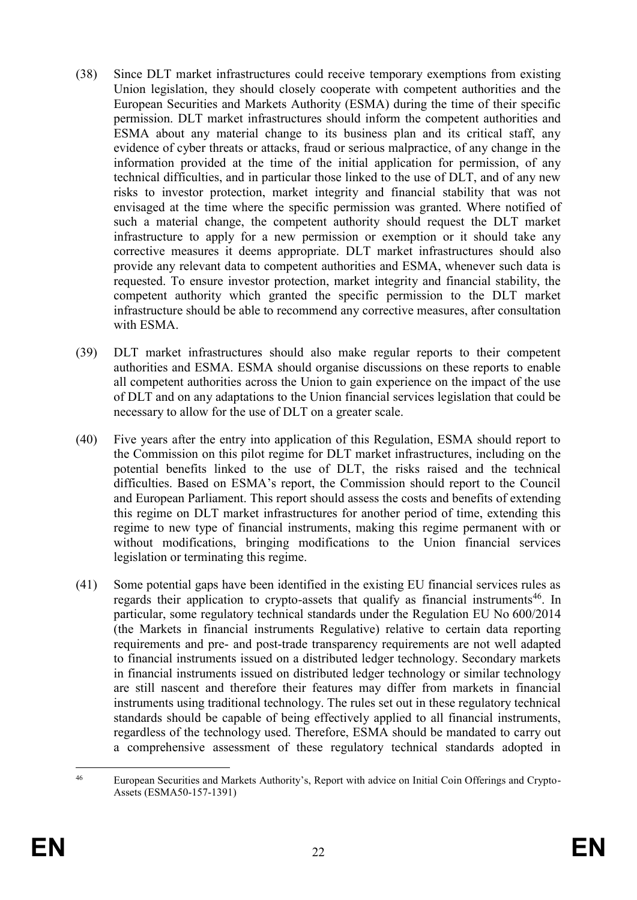- (38) Since DLT market infrastructures could receive temporary exemptions from existing Union legislation, they should closely cooperate with competent authorities and the European Securities and Markets Authority (ESMA) during the time of their specific permission. DLT market infrastructures should inform the competent authorities and ESMA about any material change to its business plan and its critical staff, any evidence of cyber threats or attacks, fraud or serious malpractice, of any change in the information provided at the time of the initial application for permission, of any technical difficulties, and in particular those linked to the use of DLT, and of any new risks to investor protection, market integrity and financial stability that was not envisaged at the time where the specific permission was granted. Where notified of such a material change, the competent authority should request the DLT market infrastructure to apply for a new permission or exemption or it should take any corrective measures it deems appropriate. DLT market infrastructures should also provide any relevant data to competent authorities and ESMA, whenever such data is requested. To ensure investor protection, market integrity and financial stability, the competent authority which granted the specific permission to the DLT market infrastructure should be able to recommend any corrective measures, after consultation with ESMA.
- (39) DLT market infrastructures should also make regular reports to their competent authorities and ESMA. ESMA should organise discussions on these reports to enable all competent authorities across the Union to gain experience on the impact of the use of DLT and on any adaptations to the Union financial services legislation that could be necessary to allow for the use of DLT on a greater scale.
- (40) Five years after the entry into application of this Regulation, ESMA should report to the Commission on this pilot regime for DLT market infrastructures, including on the potential benefits linked to the use of DLT, the risks raised and the technical difficulties. Based on ESMA's report, the Commission should report to the Council and European Parliament. This report should assess the costs and benefits of extending this regime on DLT market infrastructures for another period of time, extending this regime to new type of financial instruments, making this regime permanent with or without modifications, bringing modifications to the Union financial services legislation or terminating this regime.
- (41) Some potential gaps have been identified in the existing EU financial services rules as regards their application to crypto-assets that qualify as financial instruments<sup>46</sup>. In particular, some regulatory technical standards under the Regulation EU No 600/2014 (the Markets in financial instruments Regulative) relative to certain data reporting requirements and pre- and post-trade transparency requirements are not well adapted to financial instruments issued on a distributed ledger technology. Secondary markets in financial instruments issued on distributed ledger technology or similar technology are still nascent and therefore their features may differ from markets in financial instruments using traditional technology. The rules set out in these regulatory technical standards should be capable of being effectively applied to all financial instruments, regardless of the technology used. Therefore, ESMA should be mandated to carry out a comprehensive assessment of these regulatory technical standards adopted in

 $46$ <sup>46</sup> European Securities and Markets Authority's, Report with advice on Initial Coin Offerings and Crypto-Assets (ESMA50-157-1391)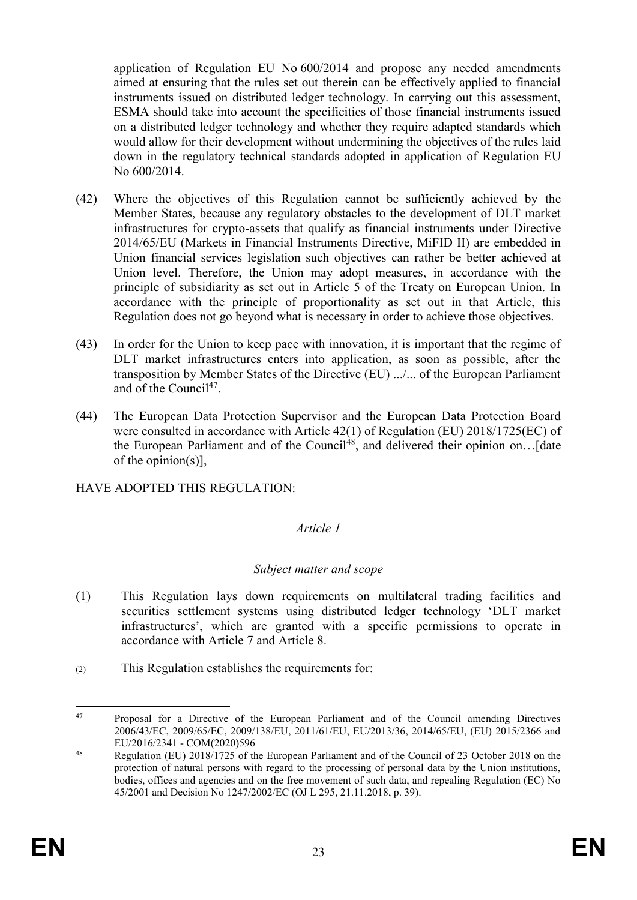application of Regulation EU No 600/2014 and propose any needed amendments aimed at ensuring that the rules set out therein can be effectively applied to financial instruments issued on distributed ledger technology. In carrying out this assessment, ESMA should take into account the specificities of those financial instruments issued on a distributed ledger technology and whether they require adapted standards which would allow for their development without undermining the objectives of the rules laid down in the regulatory technical standards adopted in application of Regulation EU No 600/2014.

- (42) Where the objectives of this Regulation cannot be sufficiently achieved by the Member States, because any regulatory obstacles to the development of DLT market infrastructures for crypto-assets that qualify as financial instruments under Directive 2014/65/EU (Markets in Financial Instruments Directive, MiFID II) are embedded in Union financial services legislation such objectives can rather be better achieved at Union level. Therefore, the Union may adopt measures, in accordance with the principle of subsidiarity as set out in Article 5 of the Treaty on European Union. In accordance with the principle of proportionality as set out in that Article, this Regulation does not go beyond what is necessary in order to achieve those objectives.
- (43) In order for the Union to keep pace with innovation, it is important that the regime of DLT market infrastructures enters into application, as soon as possible, after the transposition by Member States of the Directive (EU) .../... of the European Parliament and of the Council<sup>47</sup>.
- (44) The European Data Protection Supervisor and the European Data Protection Board were consulted in accordance with Article 42(1) of Regulation (EU) 2018/1725(EC) of the European Parliament and of the Council<sup>48</sup>, and delivered their opinion on... [date of the opinion(s)],

HAVE ADOPTED THIS REGULATION:

# *Article 1*

# *Subject matter and scope*

- (1) This Regulation lays down requirements on multilateral trading facilities and securities settlement systems using distributed ledger technology 'DLT market infrastructures', which are granted with a specific permissions to operate in accordance with Article 7 and Article 8.
- (2) This Regulation establishes the requirements for:

 $\overline{a}$ <sup>47</sup> Proposal for a Directive of the European Parliament and of the Council amending Directives 2006/43/EC, 2009/65/EC, 2009/138/EU, 2011/61/EU, EU/2013/36, 2014/65/EU, (EU) 2015/2366 and EU/2016/2341 - COM(2020)596

<sup>&</sup>lt;sup>48</sup> Regulation (EU) 2018/1725 of the European Parliament and of the Council of 23 October 2018 on the protection of natural persons with regard to the processing of personal data by the Union institutions, bodies, offices and agencies and on the free movement of such data, and repealing Regulation (EC) No 45/2001 and Decision No 1247/2002/EC (OJ L 295, 21.11.2018, p. 39).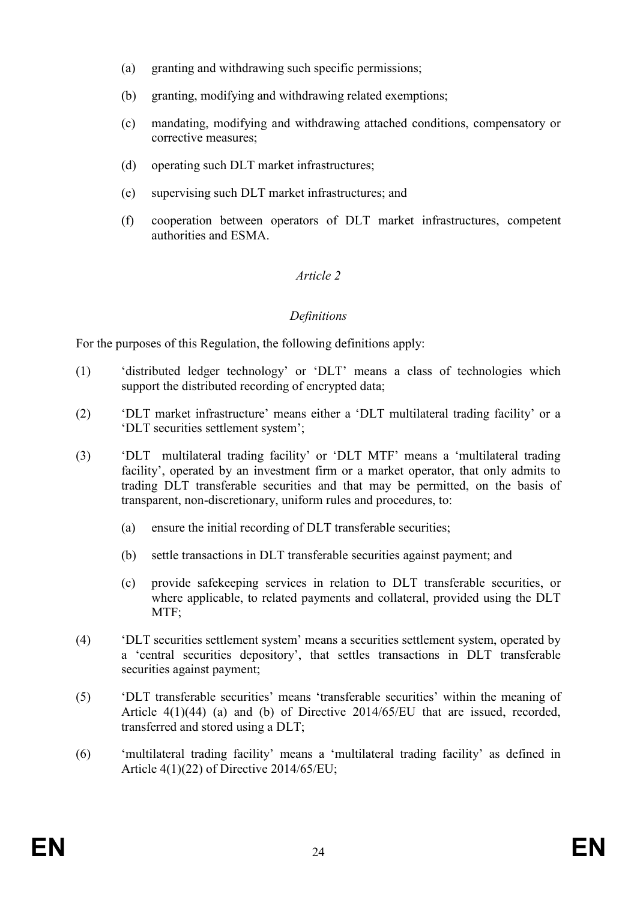- (a) granting and withdrawing such specific permissions;
- (b) granting, modifying and withdrawing related exemptions;
- (c) mandating, modifying and withdrawing attached conditions, compensatory or corrective measures;
- (d) operating such DLT market infrastructures;
- (e) supervising such DLT market infrastructures; and
- (f) cooperation between operators of DLT market infrastructures, competent authorities and ESMA.

## *Article 2*

#### *Definitions*

For the purposes of this Regulation, the following definitions apply:

- (1) 'distributed ledger technology' or 'DLT' means a class of technologies which support the distributed recording of encrypted data;
- (2) 'DLT market infrastructure' means either a 'DLT multilateral trading facility' or a 'DLT securities settlement system';
- (3) 'DLT multilateral trading facility' or 'DLT MTF' means a 'multilateral trading facility', operated by an investment firm or a market operator, that only admits to trading DLT transferable securities and that may be permitted, on the basis of transparent, non-discretionary, uniform rules and procedures, to:
	- (a) ensure the initial recording of DLT transferable securities;
	- (b) settle transactions in DLT transferable securities against payment; and
	- (c) provide safekeeping services in relation to DLT transferable securities, or where applicable, to related payments and collateral, provided using the DLT MTF:
- (4) 'DLT securities settlement system' means a securities settlement system, operated by a 'central securities depository', that settles transactions in DLT transferable securities against payment;
- (5) 'DLT transferable securities' means 'transferable securities' within the meaning of Article 4(1)(44) (a) and (b) of Directive 2014/65/EU that are issued, recorded, transferred and stored using a DLT;
- (6) 'multilateral trading facility' means a 'multilateral trading facility' as defined in Article 4(1)(22) of Directive 2014/65/EU;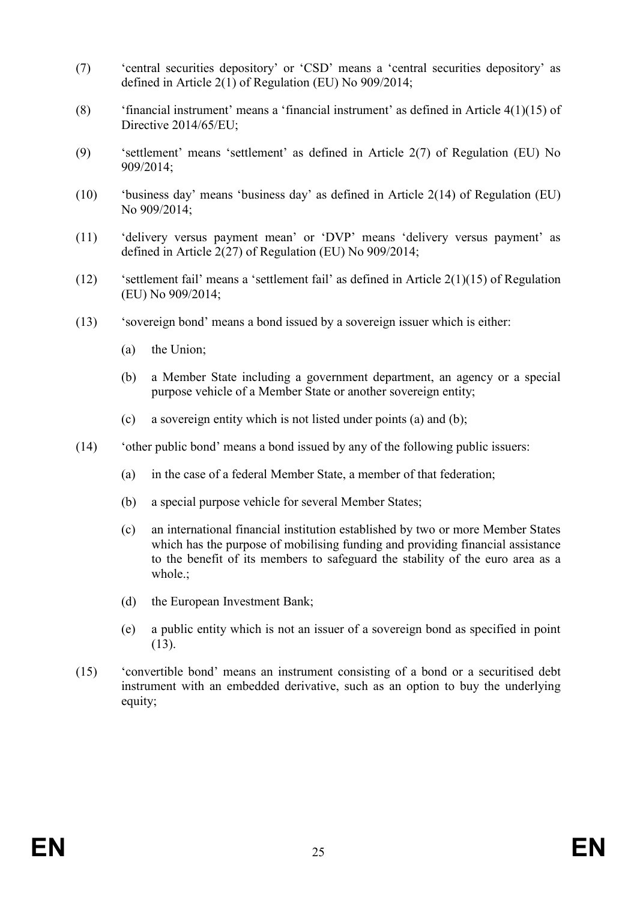- (7) 'central securities depository' or 'CSD' means a 'central securities depository' as defined in Article 2(1) of Regulation (EU) No 909/2014;
- (8) 'financial instrument' means a 'financial instrument' as defined in Article 4(1)(15) of Directive 2014/65/EU;
- (9) 'settlement' means 'settlement' as defined in Article 2(7) of Regulation (EU) No 909/2014;
- (10) 'business day' means 'business day' as defined in Article 2(14) of Regulation (EU) No 909/2014;
- (11) 'delivery versus payment mean' or 'DVP' means 'delivery versus payment' as defined in Article 2(27) of Regulation (EU) No 909/2014;
- (12) 'settlement fail' means a 'settlement fail' as defined in Article 2(1)(15) of Regulation (EU) No 909/2014;
- (13) 'sovereign bond' means a bond issued by a sovereign issuer which is either:
	- (a) the Union;
	- (b) a Member State including a government department, an agency or a special purpose vehicle of a Member State or another sovereign entity;
	- (c) a sovereign entity which is not listed under points (a) and (b);
- (14) 'other public bond' means a bond issued by any of the following public issuers:
	- (a) in the case of a federal Member State, a member of that federation;
	- (b) a special purpose vehicle for several Member States;
	- (c) an international financial institution established by two or more Member States which has the purpose of mobilising funding and providing financial assistance to the benefit of its members to safeguard the stability of the euro area as a whole.;
	- (d) the European Investment Bank;
	- (e) a public entity which is not an issuer of a sovereign bond as specified in point (13).
- (15) 'convertible bond' means an instrument consisting of a bond or a securitised debt instrument with an embedded derivative, such as an option to buy the underlying equity;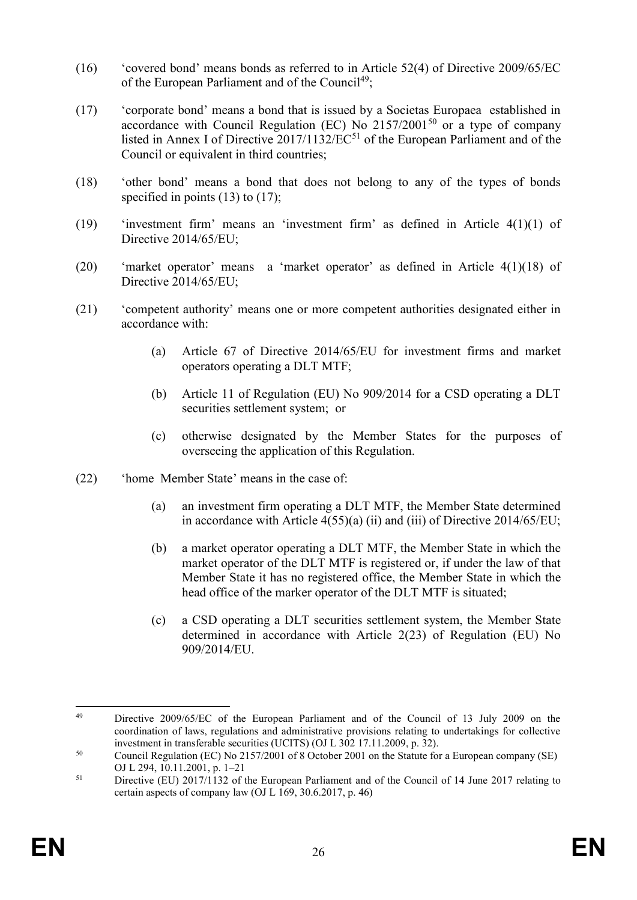- (16) 'covered bond' means bonds as referred to in Article 52(4) of Directive 2009/65/EC of the European Parliament and of the Council<sup>49</sup>;
- (17) 'corporate bond' means a bond that is issued by a Societas Europaea established in accordance with Council Regulation (EC) No  $2157/2001^{50}$  or a type of company listed in Annex I of Directive 2017/1132/EC<sup>51</sup> of the European Parliament and of the Council or equivalent in third countries;
- (18) 'other bond' means a bond that does not belong to any of the types of bonds specified in points  $(13)$  to  $(17)$ ;
- (19) 'investment firm' means an 'investment firm' as defined in Article 4(1)(1) of Directive 2014/65/EU;
- (20) 'market operator' means a 'market operator' as defined in Article 4(1)(18) of Directive 2014/65/EU;
- (21) 'competent authority' means one or more competent authorities designated either in accordance with:
	- (a) Article 67 of Directive 2014/65/EU for investment firms and market operators operating a DLT MTF;
	- (b) Article 11 of Regulation (EU) No 909/2014 for a CSD operating a DLT securities settlement system; or
	- (c) otherwise designated by the Member States for the purposes of overseeing the application of this Regulation.
- (22) 'home Member State' means in the case of:
	- (a) an investment firm operating a DLT MTF, the Member State determined in accordance with Article 4(55)(a) (ii) and (iii) of Directive 2014/65/EU;
	- (b) a market operator operating a DLT MTF, the Member State in which the market operator of the DLT MTF is registered or, if under the law of that Member State it has no registered office, the Member State in which the head office of the marker operator of the DLT MTF is situated;
	- (c) a CSD operating a DLT securities settlement system, the Member State determined in accordance with Article 2(23) of Regulation (EU) No 909/2014/EU.

 $\overline{a}$ <sup>49</sup> Directive 2009/65/EC of the European Parliament and of the Council of 13 July 2009 on the coordination of laws, regulations and administrative provisions relating to undertakings for collective investment in transferable securities (UCITS) (OJ L 302 17.11.2009, p. 32).

<sup>50</sup> Council Regulation (EC) No 2157/2001 of 8 October 2001 on the Statute for a European company (SE) OJ L 294, 10.11.2001, p. 1–21

<sup>&</sup>lt;sup>51</sup> Directive (EU) 2017/1132 of the European Parliament and of the Council of 14 June 2017 relating to certain aspects of company law (OJ L 169, 30.6.2017, p. 46)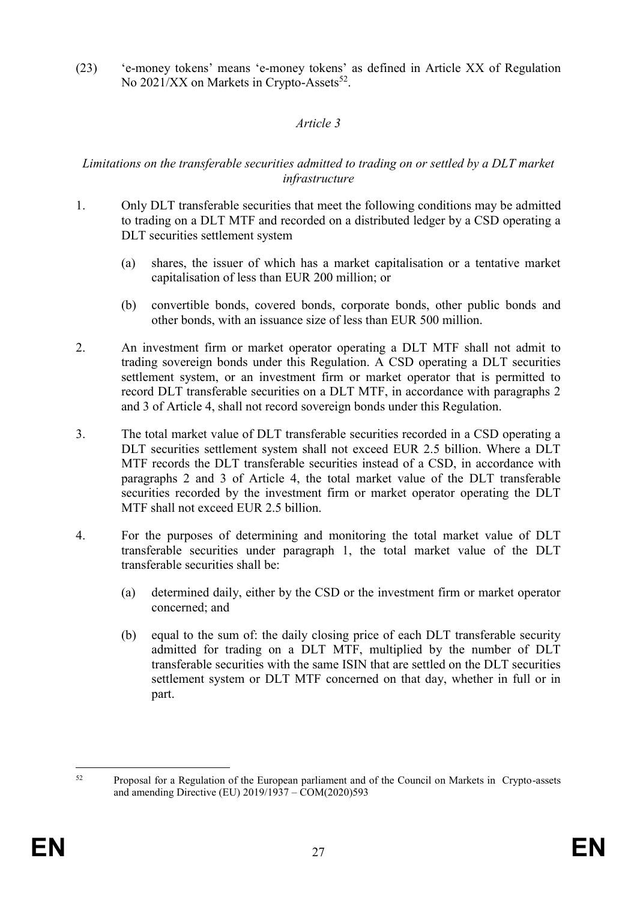(23) 'e-money tokens' means 'e-money tokens' as defined in Article XX of Regulation No 2021/XX on Markets in Crypto-Assets<sup>52</sup>.

## *Article 3*

## *Limitations on the transferable securities admitted to trading on or settled by a DLT market infrastructure*

- 1. Only DLT transferable securities that meet the following conditions may be admitted to trading on a DLT MTF and recorded on a distributed ledger by a CSD operating a DLT securities settlement system
	- (a) shares, the issuer of which has a market capitalisation or a tentative market capitalisation of less than EUR 200 million; or
	- (b) convertible bonds, covered bonds, corporate bonds, other public bonds and other bonds, with an issuance size of less than EUR 500 million.
- 2. An investment firm or market operator operating a DLT MTF shall not admit to trading sovereign bonds under this Regulation. A CSD operating a DLT securities settlement system, or an investment firm or market operator that is permitted to record DLT transferable securities on a DLT MTF, in accordance with paragraphs 2 and 3 of Article 4, shall not record sovereign bonds under this Regulation.
- 3. The total market value of DLT transferable securities recorded in a CSD operating a DLT securities settlement system shall not exceed EUR 2.5 billion. Where a DLT MTF records the DLT transferable securities instead of a CSD, in accordance with paragraphs 2 and 3 of Article 4, the total market value of the DLT transferable securities recorded by the investment firm or market operator operating the DLT MTF shall not exceed EUR 2.5 billion.
- 4. For the purposes of determining and monitoring the total market value of DLT transferable securities under paragraph 1, the total market value of the DLT transferable securities shall be:
	- (a) determined daily, either by the CSD or the investment firm or market operator concerned; and
	- (b) equal to the sum of: the daily closing price of each DLT transferable security admitted for trading on a DLT MTF, multiplied by the number of DLT transferable securities with the same ISIN that are settled on the DLT securities settlement system or DLT MTF concerned on that day, whether in full or in part.

 $52$ <sup>52</sup> Proposal for a Regulation of the European parliament and of the Council on Markets in Crypto-assets and amending Directive (EU) 2019/1937 – COM(2020)593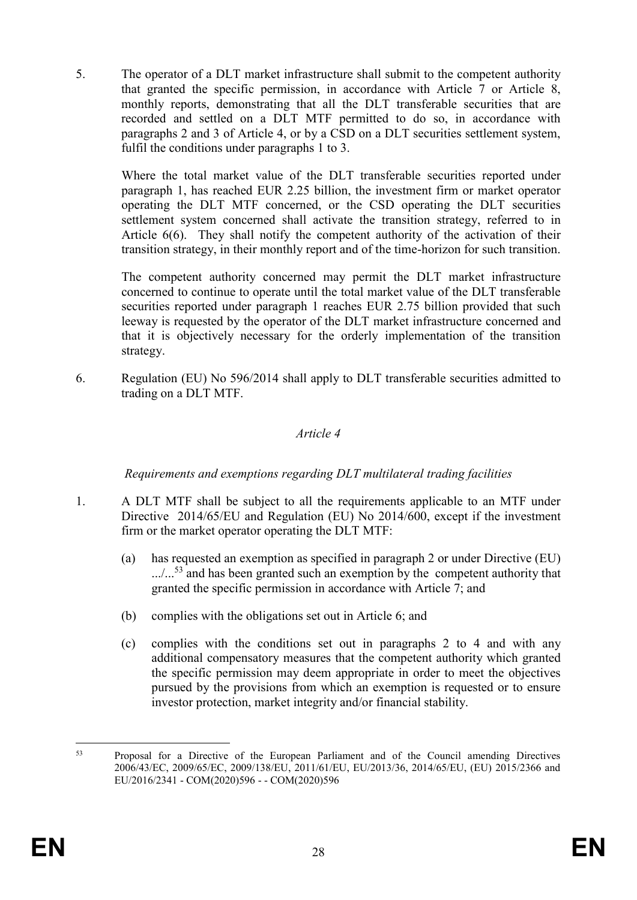5. The operator of a DLT market infrastructure shall submit to the competent authority that granted the specific permission, in accordance with Article 7 or Article 8, monthly reports, demonstrating that all the DLT transferable securities that are recorded and settled on a DLT MTF permitted to do so, in accordance with paragraphs 2 and 3 of Article 4, or by a CSD on a DLT securities settlement system, fulfil the conditions under paragraphs 1 to 3.

Where the total market value of the DLT transferable securities reported under paragraph 1, has reached EUR 2.25 billion, the investment firm or market operator operating the DLT MTF concerned, or the CSD operating the DLT securities settlement system concerned shall activate the transition strategy, referred to in Article 6(6). They shall notify the competent authority of the activation of their transition strategy, in their monthly report and of the time-horizon for such transition.

The competent authority concerned may permit the DLT market infrastructure concerned to continue to operate until the total market value of the DLT transferable securities reported under paragraph 1 reaches EUR 2.75 billion provided that such leeway is requested by the operator of the DLT market infrastructure concerned and that it is objectively necessary for the orderly implementation of the transition strategy.

6. Regulation (EU) No 596/2014 shall apply to DLT transferable securities admitted to trading on a DLT MTF.

## *Article 4*

*Requirements and exemptions regarding DLT multilateral trading facilities*

- 1. A DLT MTF shall be subject to all the requirements applicable to an MTF under Directive 2014/65/EU and Regulation (EU) No 2014/600, except if the investment firm or the market operator operating the DLT MTF:
	- (a) has requested an exemption as specified in paragraph 2 or under Directive (EU)  $\ldots$ ...<sup>53</sup> and has been granted such an exemption by the competent authority that granted the specific permission in accordance with Article 7; and
	- (b) complies with the obligations set out in Article 6; and
	- (c) complies with the conditions set out in paragraphs 2 to 4 and with any additional compensatory measures that the competent authority which granted the specific permission may deem appropriate in order to meet the objectives pursued by the provisions from which an exemption is requested or to ensure investor protection, market integrity and/or financial stability.

<sup>53</sup> <sup>53</sup> Proposal for a Directive of the European Parliament and of the Council amending Directives 2006/43/EC, 2009/65/EC, 2009/138/EU, 2011/61/EU, EU/2013/36, 2014/65/EU, (EU) 2015/2366 and EU/2016/2341 - COM(2020)596 - - COM(2020)596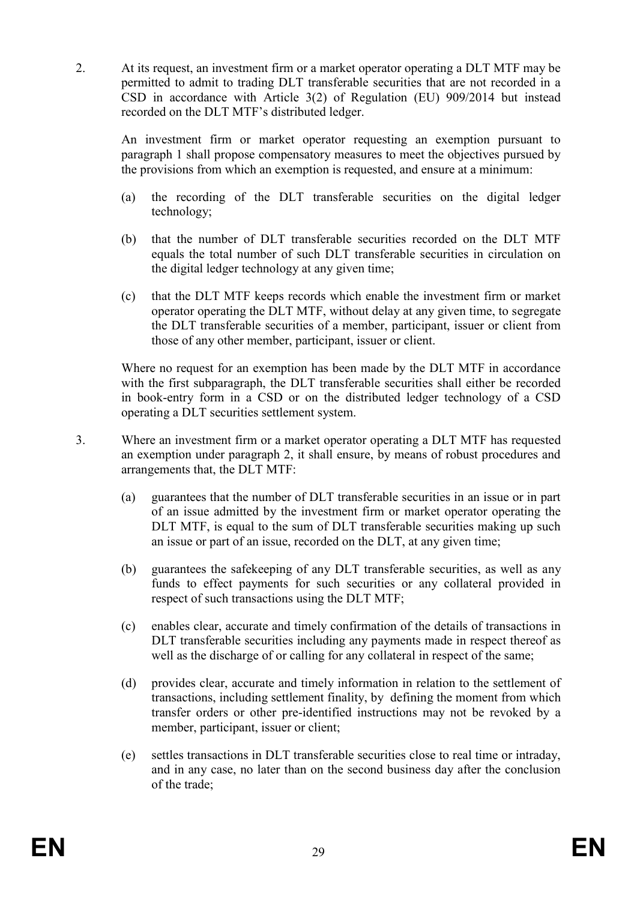2. At its request, an investment firm or a market operator operating a DLT MTF may be permitted to admit to trading DLT transferable securities that are not recorded in a CSD in accordance with Article 3(2) of Regulation (EU) 909/2014 but instead recorded on the DLT MTF's distributed ledger.

An investment firm or market operator requesting an exemption pursuant to paragraph 1 shall propose compensatory measures to meet the objectives pursued by the provisions from which an exemption is requested, and ensure at a minimum:

- (a) the recording of the DLT transferable securities on the digital ledger technology;
- (b) that the number of DLT transferable securities recorded on the DLT MTF equals the total number of such DLT transferable securities in circulation on the digital ledger technology at any given time;
- (c) that the DLT MTF keeps records which enable the investment firm or market operator operating the DLT MTF, without delay at any given time, to segregate the DLT transferable securities of a member, participant, issuer or client from those of any other member, participant, issuer or client.

Where no request for an exemption has been made by the DLT MTF in accordance with the first subparagraph, the DLT transferable securities shall either be recorded in book-entry form in a CSD or on the distributed ledger technology of a CSD operating a DLT securities settlement system.

- 3. Where an investment firm or a market operator operating a DLT MTF has requested an exemption under paragraph 2, it shall ensure, by means of robust procedures and arrangements that, the DLT MTF:
	- (a) guarantees that the number of DLT transferable securities in an issue or in part of an issue admitted by the investment firm or market operator operating the DLT MTF, is equal to the sum of DLT transferable securities making up such an issue or part of an issue, recorded on the DLT, at any given time;
	- (b) guarantees the safekeeping of any DLT transferable securities, as well as any funds to effect payments for such securities or any collateral provided in respect of such transactions using the DLT MTF;
	- (c) enables clear, accurate and timely confirmation of the details of transactions in DLT transferable securities including any payments made in respect thereof as well as the discharge of or calling for any collateral in respect of the same;
	- (d) provides clear, accurate and timely information in relation to the settlement of transactions, including settlement finality, by defining the moment from which transfer orders or other pre-identified instructions may not be revoked by a member, participant, issuer or client;
	- (e) settles transactions in DLT transferable securities close to real time or intraday, and in any case, no later than on the second business day after the conclusion of the trade;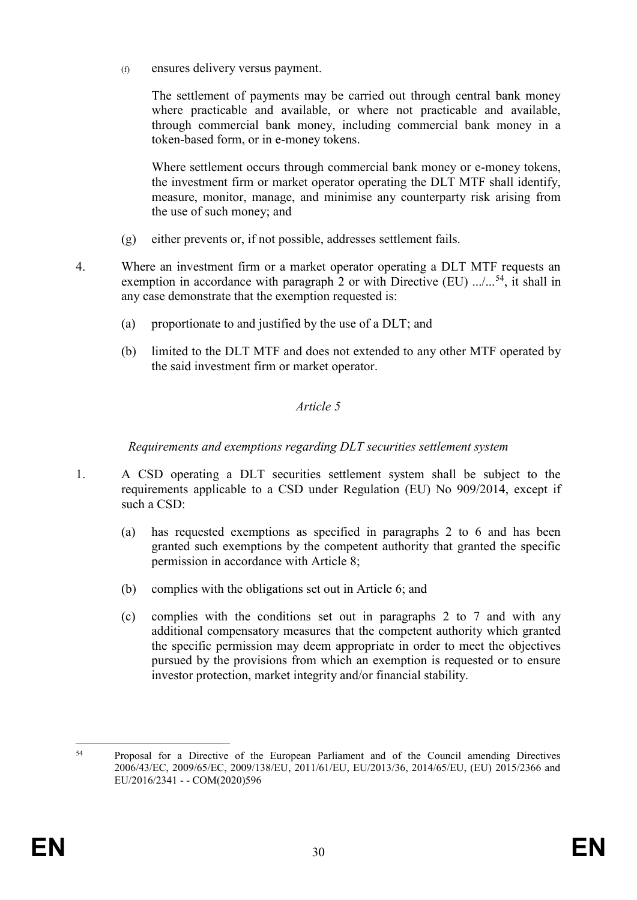(f) ensures delivery versus payment.

The settlement of payments may be carried out through central bank money where practicable and available, or where not practicable and available, through commercial bank money, including commercial bank money in a token-based form, or in e-money tokens.

Where settlement occurs through commercial bank money or e-money tokens, the investment firm or market operator operating the DLT MTF shall identify, measure, monitor, manage, and minimise any counterparty risk arising from the use of such money; and

- (g) either prevents or, if not possible, addresses settlement fails.
- 4. Where an investment firm or a market operator operating a DLT MTF requests an exemption in accordance with paragraph 2 or with Directive (EU)  $\ldots$ ,  $^{54}$ , it shall in any case demonstrate that the exemption requested is:
	- (a) proportionate to and justified by the use of a DLT; and
	- (b) limited to the DLT MTF and does not extended to any other MTF operated by the said investment firm or market operator.

# *Article 5*

*Requirements and exemptions regarding DLT securities settlement system*

- 1. A CSD operating a DLT securities settlement system shall be subject to the requirements applicable to a CSD under Regulation (EU) No 909/2014, except if such a CSD:
	- (a) has requested exemptions as specified in paragraphs 2 to 6 and has been granted such exemptions by the competent authority that granted the specific permission in accordance with Article 8;
	- (b) complies with the obligations set out in Article 6; and
	- (c) complies with the conditions set out in paragraphs 2 to 7 and with any additional compensatory measures that the competent authority which granted the specific permission may deem appropriate in order to meet the objectives pursued by the provisions from which an exemption is requested or to ensure investor protection, market integrity and/or financial stability.

<sup>54</sup> <sup>54</sup> Proposal for a Directive of the European Parliament and of the Council amending Directives 2006/43/EC, 2009/65/EC, 2009/138/EU, 2011/61/EU, EU/2013/36, 2014/65/EU, (EU) 2015/2366 and EU/2016/2341 - - COM(2020)596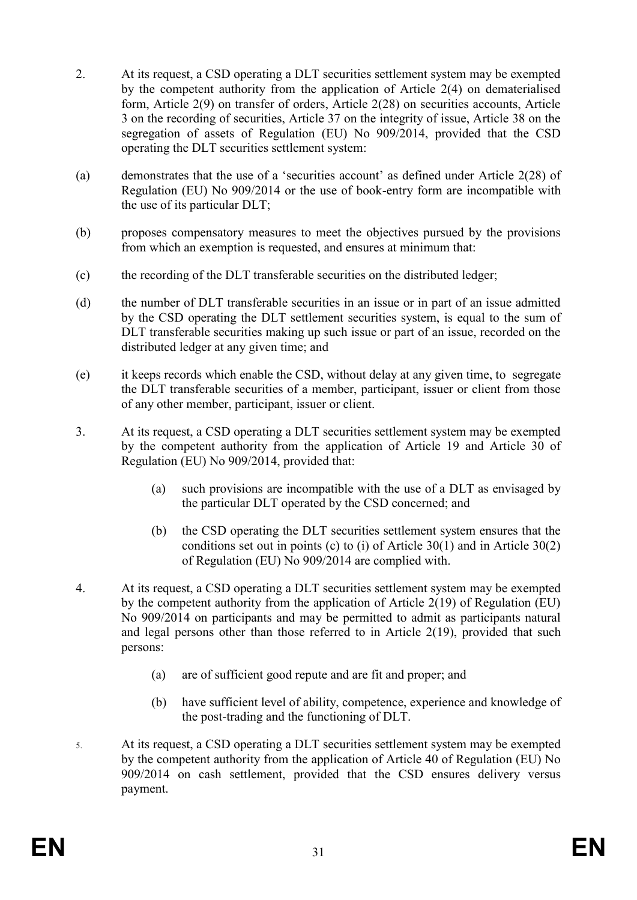- 2. At its request, a CSD operating a DLT securities settlement system may be exempted by the competent authority from the application of Article 2(4) on dematerialised form, Article 2(9) on transfer of orders, Article 2(28) on securities accounts, Article 3 on the recording of securities, Article 37 on the integrity of issue, Article 38 on the segregation of assets of Regulation (EU) No 909/2014, provided that the CSD operating the DLT securities settlement system:
- (a) demonstrates that the use of a 'securities account' as defined under Article 2(28) of Regulation (EU) No 909/2014 or the use of book-entry form are incompatible with the use of its particular DLT;
- (b) proposes compensatory measures to meet the objectives pursued by the provisions from which an exemption is requested, and ensures at minimum that:
- (c) the recording of the DLT transferable securities on the distributed ledger;
- (d) the number of DLT transferable securities in an issue or in part of an issue admitted by the CSD operating the DLT settlement securities system, is equal to the sum of DLT transferable securities making up such issue or part of an issue, recorded on the distributed ledger at any given time; and
- (e) it keeps records which enable the CSD, without delay at any given time, to segregate the DLT transferable securities of a member, participant, issuer or client from those of any other member, participant, issuer or client.
- 3. At its request, a CSD operating a DLT securities settlement system may be exempted by the competent authority from the application of Article 19 and Article 30 of Regulation (EU) No 909/2014, provided that:
	- (a) such provisions are incompatible with the use of a DLT as envisaged by the particular DLT operated by the CSD concerned; and
	- (b) the CSD operating the DLT securities settlement system ensures that the conditions set out in points (c) to (i) of Article 30(1) and in Article 30(2) of Regulation (EU) No 909/2014 are complied with.
- 4. At its request, a CSD operating a DLT securities settlement system may be exempted by the competent authority from the application of Article 2(19) of Regulation (EU) No 909/2014 on participants and may be permitted to admit as participants natural and legal persons other than those referred to in Article 2(19), provided that such persons:
	- (a) are of sufficient good repute and are fit and proper; and
	- (b) have sufficient level of ability, competence, experience and knowledge of the post-trading and the functioning of DLT.
- 5. At its request, a CSD operating a DLT securities settlement system may be exempted by the competent authority from the application of Article 40 of Regulation (EU) No 909/2014 on cash settlement, provided that the CSD ensures delivery versus payment.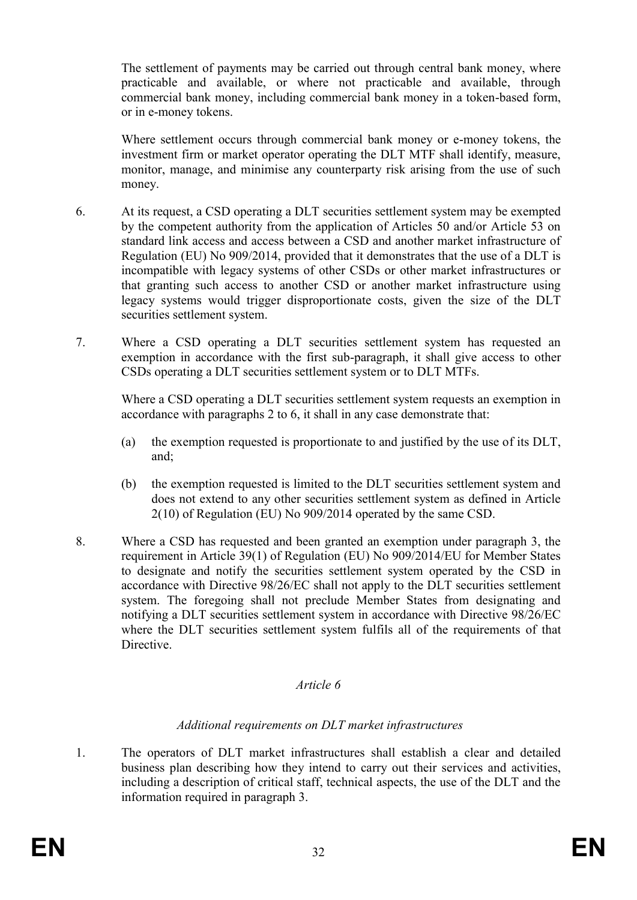The settlement of payments may be carried out through central bank money, where practicable and available, or where not practicable and available, through commercial bank money, including commercial bank money in a token-based form, or in e-money tokens.

Where settlement occurs through commercial bank money or e-money tokens, the investment firm or market operator operating the DLT MTF shall identify, measure, monitor, manage, and minimise any counterparty risk arising from the use of such money.

- 6. At its request, a CSD operating a DLT securities settlement system may be exempted by the competent authority from the application of Articles 50 and/or Article 53 on standard link access and access between a CSD and another market infrastructure of Regulation (EU) No 909/2014, provided that it demonstrates that the use of a DLT is incompatible with legacy systems of other CSDs or other market infrastructures or that granting such access to another CSD or another market infrastructure using legacy systems would trigger disproportionate costs, given the size of the DLT securities settlement system.
- 7. Where a CSD operating a DLT securities settlement system has requested an exemption in accordance with the first sub-paragraph, it shall give access to other CSDs operating a DLT securities settlement system or to DLT MTFs.

Where a CSD operating a DLT securities settlement system requests an exemption in accordance with paragraphs 2 to 6, it shall in any case demonstrate that:

- (a) the exemption requested is proportionate to and justified by the use of its DLT, and;
- (b) the exemption requested is limited to the DLT securities settlement system and does not extend to any other securities settlement system as defined in Article 2(10) of Regulation (EU) No 909/2014 operated by the same CSD.
- 8. Where a CSD has requested and been granted an exemption under paragraph 3, the requirement in Article 39(1) of Regulation (EU) No 909/2014/EU for Member States to designate and notify the securities settlement system operated by the CSD in accordance with Directive 98/26/EC shall not apply to the DLT securities settlement system. The foregoing shall not preclude Member States from designating and notifying a DLT securities settlement system in accordance with Directive 98/26/EC where the DLT securities settlement system fulfils all of the requirements of that Directive.

#### *Article 6*

## *Additional requirements on DLT market infrastructures*

1. The operators of DLT market infrastructures shall establish a clear and detailed business plan describing how they intend to carry out their services and activities, including a description of critical staff, technical aspects, the use of the DLT and the information required in paragraph 3.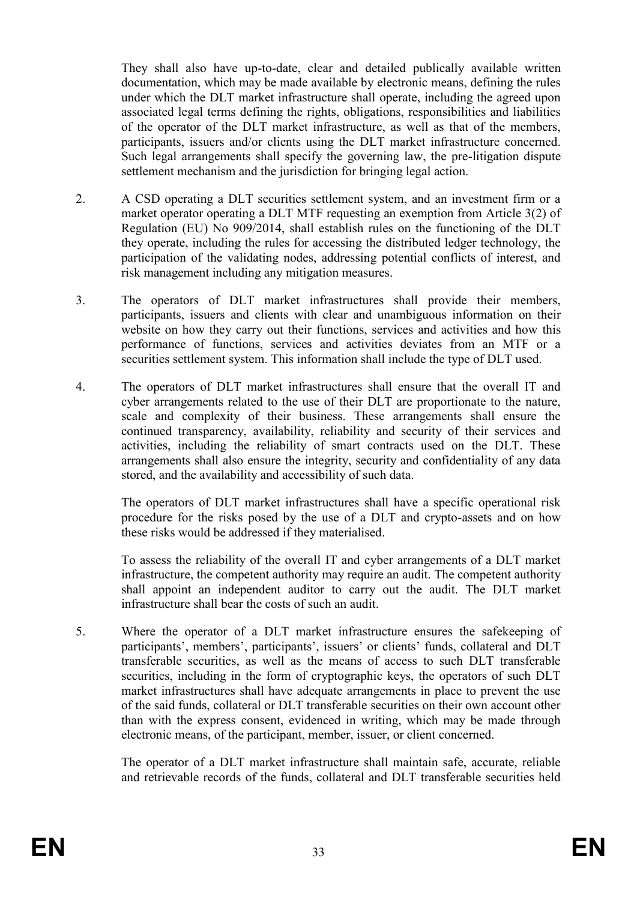They shall also have up-to-date, clear and detailed publically available written documentation, which may be made available by electronic means, defining the rules under which the DLT market infrastructure shall operate, including the agreed upon associated legal terms defining the rights, obligations, responsibilities and liabilities of the operator of the DLT market infrastructure, as well as that of the members, participants, issuers and/or clients using the DLT market infrastructure concerned. Such legal arrangements shall specify the governing law, the pre-litigation dispute settlement mechanism and the jurisdiction for bringing legal action.

- 2. A CSD operating a DLT securities settlement system, and an investment firm or a market operator operating a DLT MTF requesting an exemption from Article 3(2) of Regulation (EU) No 909/2014, shall establish rules on the functioning of the DLT they operate, including the rules for accessing the distributed ledger technology, the participation of the validating nodes, addressing potential conflicts of interest, and risk management including any mitigation measures.
- 3. The operators of DLT market infrastructures shall provide their members, participants, issuers and clients with clear and unambiguous information on their website on how they carry out their functions, services and activities and how this performance of functions, services and activities deviates from an MTF or a securities settlement system. This information shall include the type of DLT used.
- 4. The operators of DLT market infrastructures shall ensure that the overall IT and cyber arrangements related to the use of their DLT are proportionate to the nature, scale and complexity of their business. These arrangements shall ensure the continued transparency, availability, reliability and security of their services and activities, including the reliability of smart contracts used on the DLT. These arrangements shall also ensure the integrity, security and confidentiality of any data stored, and the availability and accessibility of such data.

The operators of DLT market infrastructures shall have a specific operational risk procedure for the risks posed by the use of a DLT and crypto-assets and on how these risks would be addressed if they materialised.

To assess the reliability of the overall IT and cyber arrangements of a DLT market infrastructure, the competent authority may require an audit. The competent authority shall appoint an independent auditor to carry out the audit. The DLT market infrastructure shall bear the costs of such an audit.

5. Where the operator of a DLT market infrastructure ensures the safekeeping of participants', members', participants', issuers' or clients' funds, collateral and DLT transferable securities, as well as the means of access to such DLT transferable securities, including in the form of cryptographic keys, the operators of such DLT market infrastructures shall have adequate arrangements in place to prevent the use of the said funds, collateral or DLT transferable securities on their own account other than with the express consent, evidenced in writing, which may be made through electronic means, of the participant, member, issuer, or client concerned.

The operator of a DLT market infrastructure shall maintain safe, accurate, reliable and retrievable records of the funds, collateral and DLT transferable securities held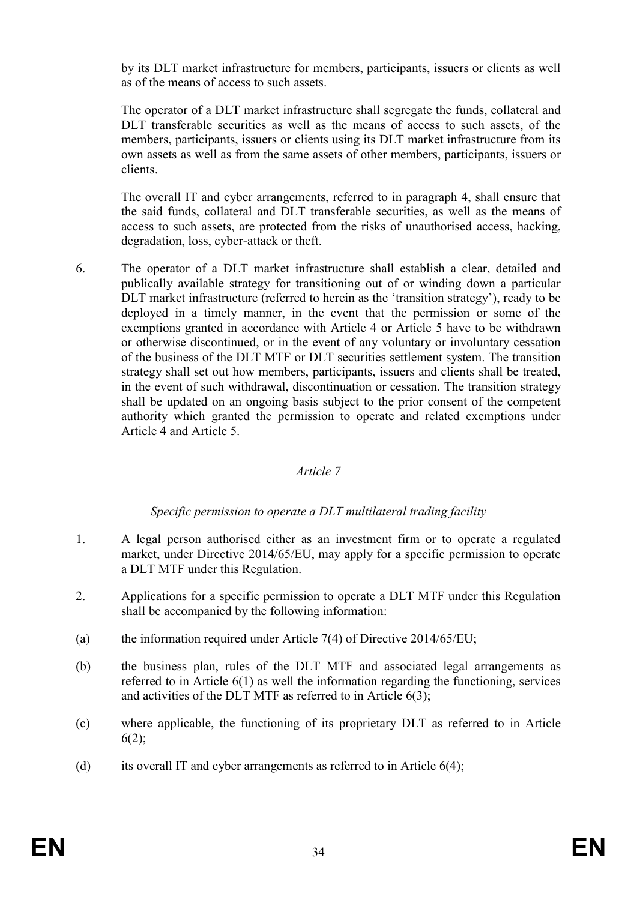by its DLT market infrastructure for members, participants, issuers or clients as well as of the means of access to such assets.

The operator of a DLT market infrastructure shall segregate the funds, collateral and DLT transferable securities as well as the means of access to such assets, of the members, participants, issuers or clients using its DLT market infrastructure from its own assets as well as from the same assets of other members, participants, issuers or clients.

The overall IT and cyber arrangements, referred to in paragraph 4, shall ensure that the said funds, collateral and DLT transferable securities, as well as the means of access to such assets, are protected from the risks of unauthorised access, hacking, degradation, loss, cyber-attack or theft.

6. The operator of a DLT market infrastructure shall establish a clear, detailed and publically available strategy for transitioning out of or winding down a particular DLT market infrastructure (referred to herein as the 'transition strategy'), ready to be deployed in a timely manner, in the event that the permission or some of the exemptions granted in accordance with Article 4 or Article 5 have to be withdrawn or otherwise discontinued, or in the event of any voluntary or involuntary cessation of the business of the DLT MTF or DLT securities settlement system. The transition strategy shall set out how members, participants, issuers and clients shall be treated, in the event of such withdrawal, discontinuation or cessation. The transition strategy shall be updated on an ongoing basis subject to the prior consent of the competent authority which granted the permission to operate and related exemptions under Article 4 and Article 5.

## *Article 7*

## *Specific permission to operate a DLT multilateral trading facility*

- 1. A legal person authorised either as an investment firm or to operate a regulated market, under Directive 2014/65/EU, may apply for a specific permission to operate a DLT MTF under this Regulation.
- 2. Applications for a specific permission to operate a DLT MTF under this Regulation shall be accompanied by the following information:
- (a) the information required under Article 7(4) of Directive  $2014/65/EU$ ;
- (b) the business plan, rules of the DLT MTF and associated legal arrangements as referred to in Article 6(1) as well the information regarding the functioning, services and activities of the DLT MTF as referred to in Article 6(3);
- (c) where applicable, the functioning of its proprietary DLT as referred to in Article  $6(2);$
- (d) its overall IT and cyber arrangements as referred to in Article  $6(4)$ ;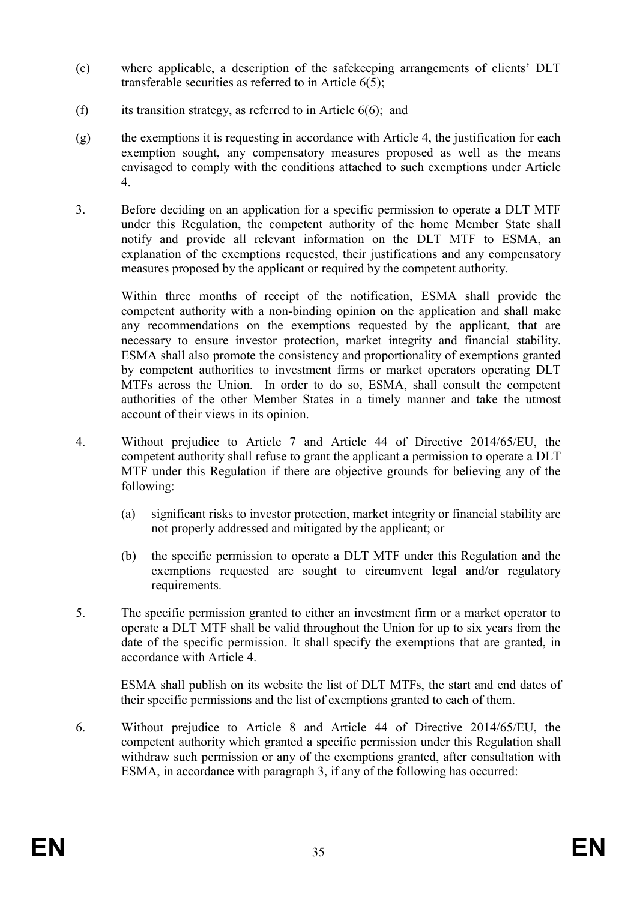- (e) where applicable, a description of the safekeeping arrangements of clients' DLT transferable securities as referred to in Article 6(5);
- (f) its transition strategy, as referred to in Article  $6(6)$ ; and
- (g) the exemptions it is requesting in accordance with Article 4, the justification for each exemption sought, any compensatory measures proposed as well as the means envisaged to comply with the conditions attached to such exemptions under Article 4.
- 3. Before deciding on an application for a specific permission to operate a DLT MTF under this Regulation, the competent authority of the home Member State shall notify and provide all relevant information on the DLT MTF to ESMA, an explanation of the exemptions requested, their justifications and any compensatory measures proposed by the applicant or required by the competent authority.

Within three months of receipt of the notification, ESMA shall provide the competent authority with a non-binding opinion on the application and shall make any recommendations on the exemptions requested by the applicant, that are necessary to ensure investor protection, market integrity and financial stability. ESMA shall also promote the consistency and proportionality of exemptions granted by competent authorities to investment firms or market operators operating DLT MTFs across the Union. In order to do so, ESMA, shall consult the competent authorities of the other Member States in a timely manner and take the utmost account of their views in its opinion.

- 4. Without prejudice to Article 7 and Article 44 of Directive 2014/65/EU, the competent authority shall refuse to grant the applicant a permission to operate a DLT MTF under this Regulation if there are objective grounds for believing any of the following:
	- (a) significant risks to investor protection, market integrity or financial stability are not properly addressed and mitigated by the applicant; or
	- (b) the specific permission to operate a DLT MTF under this Regulation and the exemptions requested are sought to circumvent legal and/or regulatory requirements.
- 5. The specific permission granted to either an investment firm or a market operator to operate a DLT MTF shall be valid throughout the Union for up to six years from the date of the specific permission. It shall specify the exemptions that are granted, in accordance with Article 4.

ESMA shall publish on its website the list of DLT MTFs, the start and end dates of their specific permissions and the list of exemptions granted to each of them.

6. Without prejudice to Article 8 and Article 44 of Directive 2014/65/EU, the competent authority which granted a specific permission under this Regulation shall withdraw such permission or any of the exemptions granted, after consultation with ESMA, in accordance with paragraph 3, if any of the following has occurred: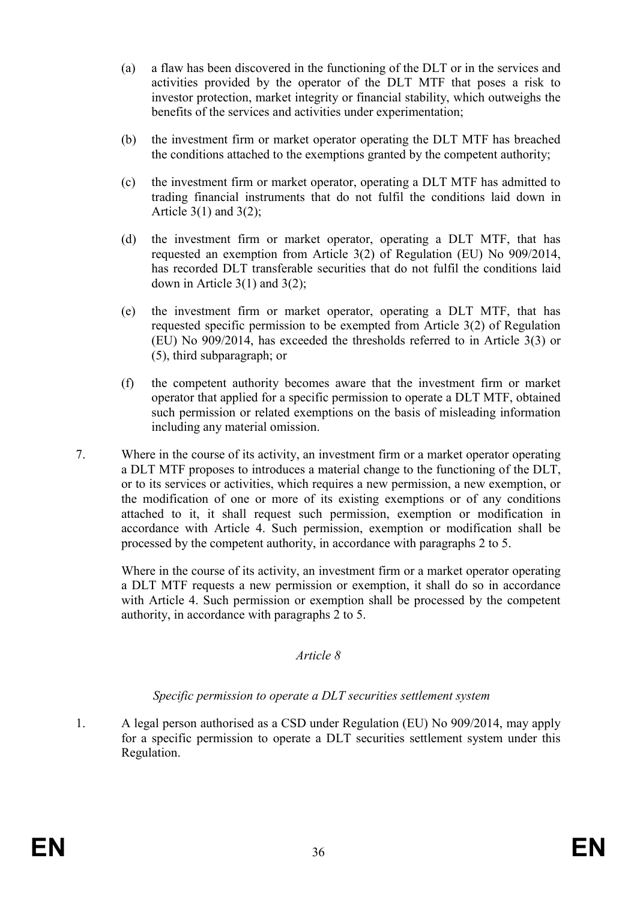- (a) a flaw has been discovered in the functioning of the DLT or in the services and activities provided by the operator of the DLT MTF that poses a risk to investor protection, market integrity or financial stability, which outweighs the benefits of the services and activities under experimentation;
- (b) the investment firm or market operator operating the DLT MTF has breached the conditions attached to the exemptions granted by the competent authority;
- (c) the investment firm or market operator, operating a DLT MTF has admitted to trading financial instruments that do not fulfil the conditions laid down in Article  $3(1)$  and  $3(2)$ ;
- (d) the investment firm or market operator, operating a DLT MTF, that has requested an exemption from Article 3(2) of Regulation (EU) No 909/2014, has recorded DLT transferable securities that do not fulfil the conditions laid down in Article 3(1) and 3(2);
- (e) the investment firm or market operator, operating a DLT MTF, that has requested specific permission to be exempted from Article 3(2) of Regulation (EU) No 909/2014, has exceeded the thresholds referred to in Article 3(3) or (5), third subparagraph; or
- (f) the competent authority becomes aware that the investment firm or market operator that applied for a specific permission to operate a DLT MTF, obtained such permission or related exemptions on the basis of misleading information including any material omission.
- 7. Where in the course of its activity, an investment firm or a market operator operating a DLT MTF proposes to introduces a material change to the functioning of the DLT, or to its services or activities, which requires a new permission, a new exemption, or the modification of one or more of its existing exemptions or of any conditions attached to it, it shall request such permission, exemption or modification in accordance with Article 4. Such permission, exemption or modification shall be processed by the competent authority, in accordance with paragraphs 2 to 5.

Where in the course of its activity, an investment firm or a market operator operating a DLT MTF requests a new permission or exemption, it shall do so in accordance with Article 4. Such permission or exemption shall be processed by the competent authority, in accordance with paragraphs 2 to 5.

## *Article 8*

## *Specific permission to operate a DLT securities settlement system*

1. A legal person authorised as a CSD under Regulation (EU) No 909/2014, may apply for a specific permission to operate a DLT securities settlement system under this Regulation.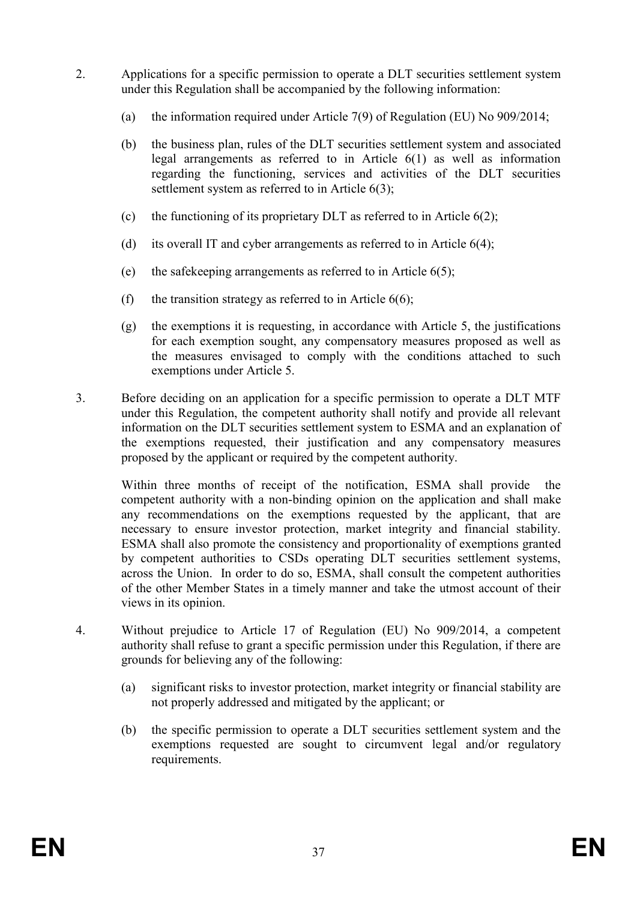- 2. Applications for a specific permission to operate a DLT securities settlement system under this Regulation shall be accompanied by the following information:
	- (a) the information required under Article 7(9) of Regulation (EU) No 909/2014;
	- (b) the business plan, rules of the DLT securities settlement system and associated legal arrangements as referred to in Article 6(1) as well as information regarding the functioning, services and activities of the DLT securities settlement system as referred to in Article 6(3);
	- (c) the functioning of its proprietary DLT as referred to in Article  $6(2)$ ;
	- (d) its overall IT and cyber arrangements as referred to in Article  $6(4)$ ;
	- (e) the safekeeping arrangements as referred to in Article 6(5);
	- (f) the transition strategy as referred to in Article  $6(6)$ ;
	- (g) the exemptions it is requesting, in accordance with Article 5, the justifications for each exemption sought, any compensatory measures proposed as well as the measures envisaged to comply with the conditions attached to such exemptions under Article 5.
- 3. Before deciding on an application for a specific permission to operate a DLT MTF under this Regulation, the competent authority shall notify and provide all relevant information on the DLT securities settlement system to ESMA and an explanation of the exemptions requested, their justification and any compensatory measures proposed by the applicant or required by the competent authority.

Within three months of receipt of the notification, ESMA shall provide the competent authority with a non-binding opinion on the application and shall make any recommendations on the exemptions requested by the applicant, that are necessary to ensure investor protection, market integrity and financial stability. ESMA shall also promote the consistency and proportionality of exemptions granted by competent authorities to CSDs operating DLT securities settlement systems, across the Union. In order to do so, ESMA, shall consult the competent authorities of the other Member States in a timely manner and take the utmost account of their views in its opinion.

- 4. Without prejudice to Article 17 of Regulation (EU) No 909/2014, a competent authority shall refuse to grant a specific permission under this Regulation, if there are grounds for believing any of the following:
	- (a) significant risks to investor protection, market integrity or financial stability are not properly addressed and mitigated by the applicant; or
	- (b) the specific permission to operate a DLT securities settlement system and the exemptions requested are sought to circumvent legal and/or regulatory requirements.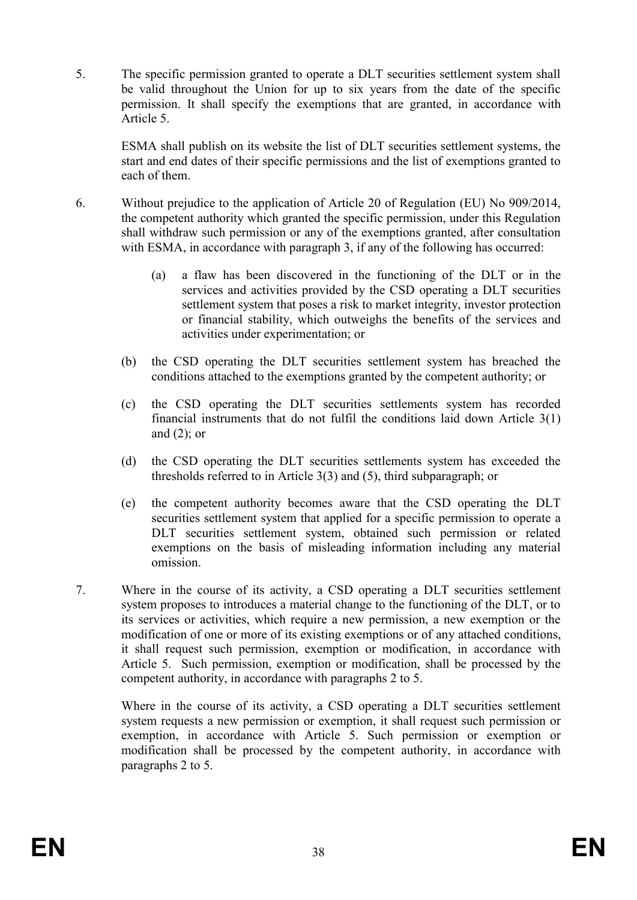5. The specific permission granted to operate a DLT securities settlement system shall be valid throughout the Union for up to six years from the date of the specific permission. It shall specify the exemptions that are granted, in accordance with Article 5.

ESMA shall publish on its website the list of DLT securities settlement systems, the start and end dates of their specific permissions and the list of exemptions granted to each of them.

- 6. Without prejudice to the application of Article 20 of Regulation (EU) No 909/2014, the competent authority which granted the specific permission, under this Regulation shall withdraw such permission or any of the exemptions granted, after consultation with ESMA, in accordance with paragraph 3, if any of the following has occurred:
	- (a) a flaw has been discovered in the functioning of the DLT or in the services and activities provided by the CSD operating a DLT securities settlement system that poses a risk to market integrity, investor protection or financial stability, which outweighs the benefits of the services and activities under experimentation; or
	- (b) the CSD operating the DLT securities settlement system has breached the conditions attached to the exemptions granted by the competent authority; or
	- (c) the CSD operating the DLT securities settlements system has recorded financial instruments that do not fulfil the conditions laid down Article 3(1) and  $(2)$ ; or
	- (d) the CSD operating the DLT securities settlements system has exceeded the thresholds referred to in Article 3(3) and (5), third subparagraph; or
	- (e) the competent authority becomes aware that the CSD operating the DLT securities settlement system that applied for a specific permission to operate a DLT securities settlement system, obtained such permission or related exemptions on the basis of misleading information including any material omission.
- 7. Where in the course of its activity, a CSD operating a DLT securities settlement system proposes to introduces a material change to the functioning of the DLT, or to its services or activities, which require a new permission, a new exemption or the modification of one or more of its existing exemptions or of any attached conditions, it shall request such permission, exemption or modification, in accordance with Article 5. Such permission, exemption or modification, shall be processed by the competent authority, in accordance with paragraphs 2 to 5.

Where in the course of its activity, a CSD operating a DLT securities settlement system requests a new permission or exemption, it shall request such permission or exemption, in accordance with Article 5. Such permission or exemption or modification shall be processed by the competent authority, in accordance with paragraphs 2 to 5.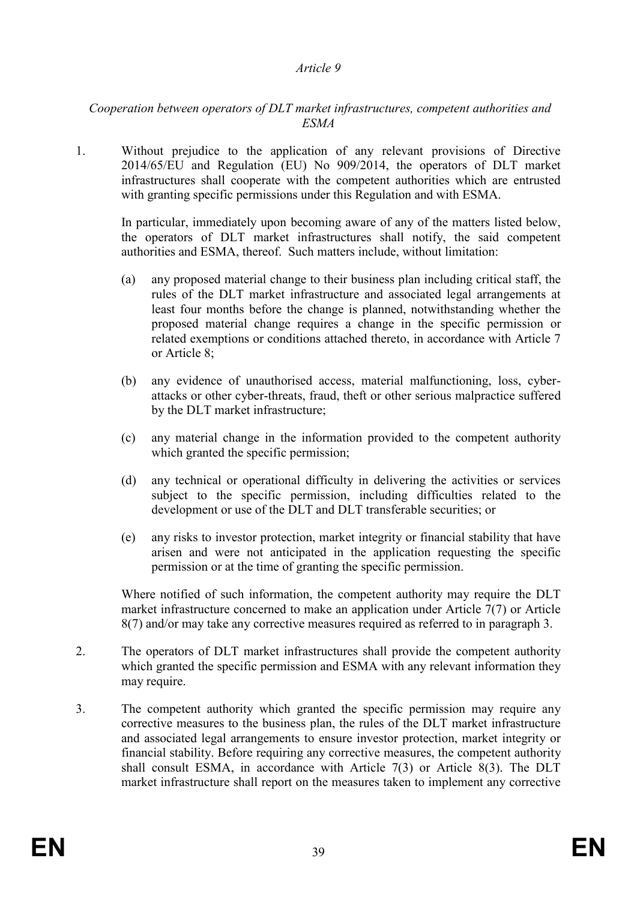#### *Article 9*

## *Cooperation between operators of DLT market infrastructures, competent authorities and ESMA*

1. Without prejudice to the application of any relevant provisions of Directive 2014/65/EU and Regulation (EU) No 909/2014, the operators of DLT market infrastructures shall cooperate with the competent authorities which are entrusted with granting specific permissions under this Regulation and with ESMA.

In particular, immediately upon becoming aware of any of the matters listed below, the operators of DLT market infrastructures shall notify, the said competent authorities and ESMA, thereof. Such matters include, without limitation:

- (a) any proposed material change to their business plan including critical staff, the rules of the DLT market infrastructure and associated legal arrangements at least four months before the change is planned, notwithstanding whether the proposed material change requires a change in the specific permission or related exemptions or conditions attached thereto, in accordance with Article 7 or Article 8;
- (b) any evidence of unauthorised access, material malfunctioning, loss, cyberattacks or other cyber-threats, fraud, theft or other serious malpractice suffered by the DLT market infrastructure;
- (c) any material change in the information provided to the competent authority which granted the specific permission;
- (d) any technical or operational difficulty in delivering the activities or services subject to the specific permission, including difficulties related to the development or use of the DLT and DLT transferable securities; or
- (e) any risks to investor protection, market integrity or financial stability that have arisen and were not anticipated in the application requesting the specific permission or at the time of granting the specific permission.

Where notified of such information, the competent authority may require the DLT market infrastructure concerned to make an application under Article 7(7) or Article 8(7) and/or may take any corrective measures required as referred to in paragraph 3.

- 2. The operators of DLT market infrastructures shall provide the competent authority which granted the specific permission and ESMA with any relevant information they may require.
- 3. The competent authority which granted the specific permission may require any corrective measures to the business plan, the rules of the DLT market infrastructure and associated legal arrangements to ensure investor protection, market integrity or financial stability. Before requiring any corrective measures, the competent authority shall consult ESMA, in accordance with Article 7(3) or Article 8(3). The DLT market infrastructure shall report on the measures taken to implement any corrective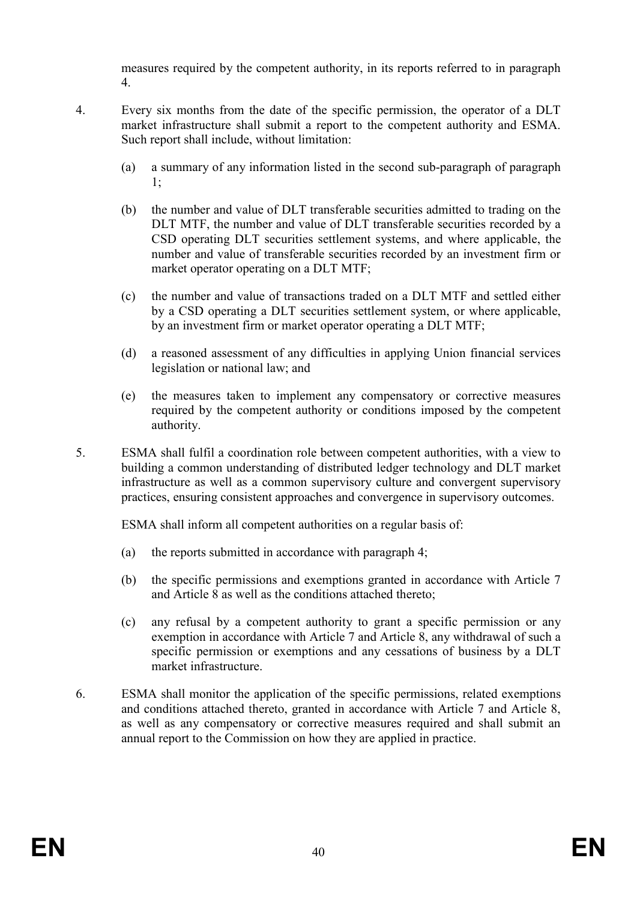measures required by the competent authority, in its reports referred to in paragraph 4.

- 4. Every six months from the date of the specific permission, the operator of a DLT market infrastructure shall submit a report to the competent authority and ESMA. Such report shall include, without limitation:
	- (a) a summary of any information listed in the second sub-paragraph of paragraph 1;
	- (b) the number and value of DLT transferable securities admitted to trading on the DLT MTF, the number and value of DLT transferable securities recorded by a CSD operating DLT securities settlement systems, and where applicable, the number and value of transferable securities recorded by an investment firm or market operator operating on a DLT MTF;
	- (c) the number and value of transactions traded on a DLT MTF and settled either by a CSD operating a DLT securities settlement system, or where applicable, by an investment firm or market operator operating a DLT MTF;
	- (d) a reasoned assessment of any difficulties in applying Union financial services legislation or national law; and
	- (e) the measures taken to implement any compensatory or corrective measures required by the competent authority or conditions imposed by the competent authority.
- 5. ESMA shall fulfil a coordination role between competent authorities, with a view to building a common understanding of distributed ledger technology and DLT market infrastructure as well as a common supervisory culture and convergent supervisory practices, ensuring consistent approaches and convergence in supervisory outcomes.

ESMA shall inform all competent authorities on a regular basis of:

- (a) the reports submitted in accordance with paragraph 4;
- (b) the specific permissions and exemptions granted in accordance with Article 7 and Article 8 as well as the conditions attached thereto;
- (c) any refusal by a competent authority to grant a specific permission or any exemption in accordance with Article 7 and Article 8, any withdrawal of such a specific permission or exemptions and any cessations of business by a DLT market infrastructure.
- 6. ESMA shall monitor the application of the specific permissions, related exemptions and conditions attached thereto, granted in accordance with Article 7 and Article 8, as well as any compensatory or corrective measures required and shall submit an annual report to the Commission on how they are applied in practice.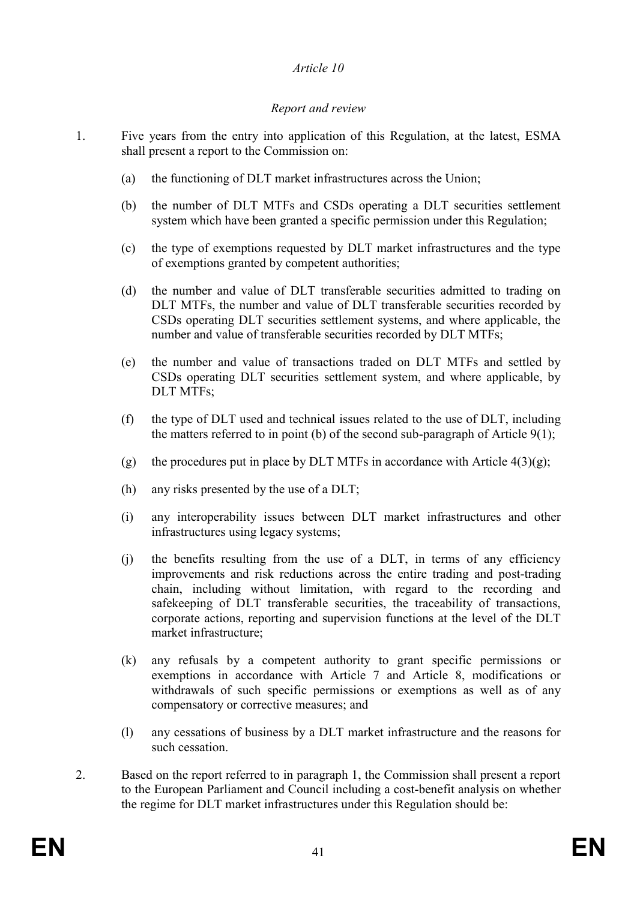## *Article 10*

## *Report and review*

- 1. Five years from the entry into application of this Regulation, at the latest, ESMA shall present a report to the Commission on:
	- (a) the functioning of DLT market infrastructures across the Union;
	- (b) the number of DLT MTFs and CSDs operating a DLT securities settlement system which have been granted a specific permission under this Regulation;
	- (c) the type of exemptions requested by DLT market infrastructures and the type of exemptions granted by competent authorities;
	- (d) the number and value of DLT transferable securities admitted to trading on DLT MTFs, the number and value of DLT transferable securities recorded by CSDs operating DLT securities settlement systems, and where applicable, the number and value of transferable securities recorded by DLT MTFs;
	- (e) the number and value of transactions traded on DLT MTFs and settled by CSDs operating DLT securities settlement system, and where applicable, by DLT MTFs;
	- (f) the type of DLT used and technical issues related to the use of DLT, including the matters referred to in point (b) of the second sub-paragraph of Article  $9(1)$ ;
	- (g) the procedures put in place by DLT MTFs in accordance with Article  $4(3)(g)$ ;
	- (h) any risks presented by the use of a DLT;
	- (i) any interoperability issues between DLT market infrastructures and other infrastructures using legacy systems;
	- (j) the benefits resulting from the use of a DLT, in terms of any efficiency improvements and risk reductions across the entire trading and post-trading chain, including without limitation, with regard to the recording and safekeeping of DLT transferable securities, the traceability of transactions, corporate actions, reporting and supervision functions at the level of the DLT market infrastructure;
	- (k) any refusals by a competent authority to grant specific permissions or exemptions in accordance with Article 7 and Article 8, modifications or withdrawals of such specific permissions or exemptions as well as of any compensatory or corrective measures; and
	- (l) any cessations of business by a DLT market infrastructure and the reasons for such cessation.
- 2. Based on the report referred to in paragraph 1, the Commission shall present a report to the European Parliament and Council including a cost-benefit analysis on whether the regime for DLT market infrastructures under this Regulation should be: